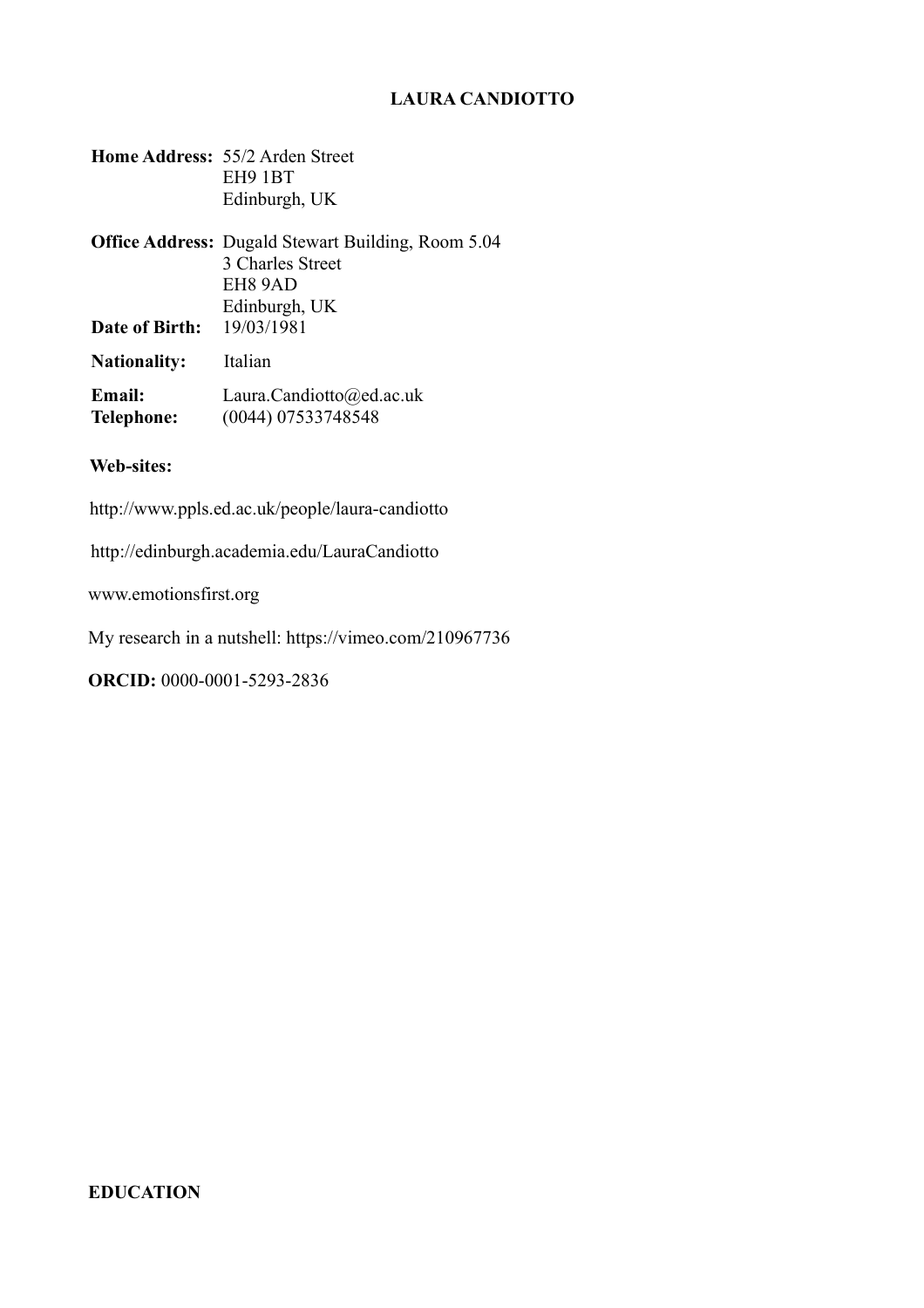# **LAURA CANDIOTTO**

|                                  | Home Address: 55/2 Arden Street<br>EH9 1BT<br>Edinburgh, UK                                               |
|----------------------------------|-----------------------------------------------------------------------------------------------------------|
|                                  | <b>Office Address:</b> Dugald Stewart Building, Room 5.04<br>3 Charles Street<br>EH8 9AD<br>Edinburgh, UK |
| <b>Date of Birth:</b> 19/03/1981 |                                                                                                           |
| <b>Nationality:</b>              | Italian                                                                                                   |
| Email:<br>Telephone:             | Laura.Candiotto@ed.ac.uk<br>(0044) 07533748548                                                            |

## **Web-sites:**

<http://www.ppls.ed.ac.uk/people/laura-candiotto>

<http://edinburgh.academia.edu/LauraCandiotto>

[www.emotionsfirst.org](http://www.emotionsfirst.org/)

My research in a nutshell: https://vimeo.com/210967736

**ORCID:** 0000-0001-5293-2836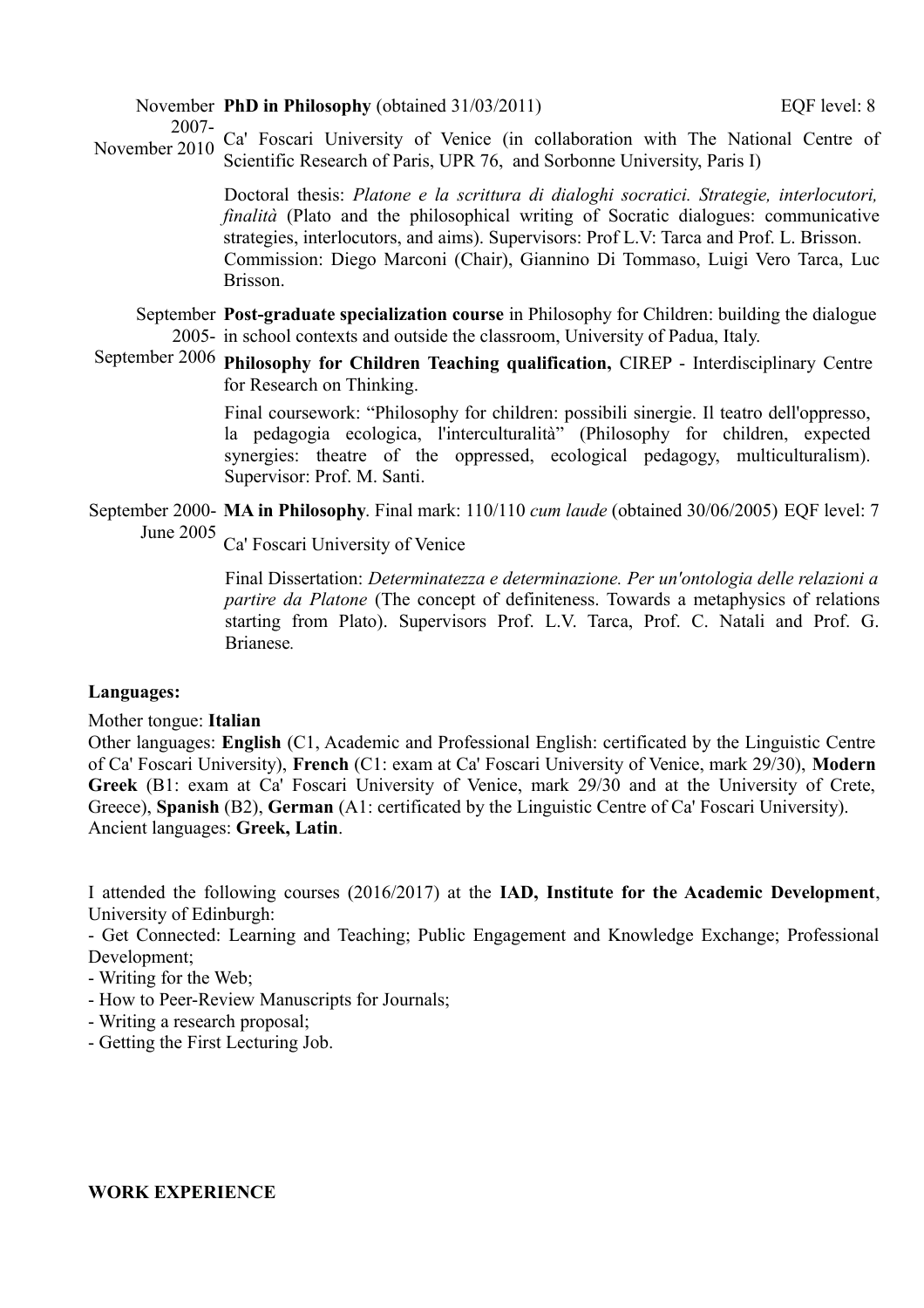November **PhD in Philosophy** (obtained 31/03/2011) EQF level: 8

2007- November 2010 Ca' Foscari University of Venice (in collaboration with The National Centre of Scientific Research of Paris, UPR 76, and Sorbonne University, Paris I)

> Doctoral thesis: *Platone e la scrittura di dialoghi socratici. Strategie, interlocutori, finalità* (Plato and the philosophical writing of Socratic dialogues: communicative strategies, interlocutors, and aims). Supervisors: Prof L.V: Tarca and Prof. L. Brisson. Commission: Diego Marconi (Chair), Giannino Di Tommaso, Luigi Vero Tarca, Luc Brisson.

September **Post-graduate specialization course** in Philosophy for Children: building the dialogue 2005- in school contexts and outside the classroom, University of Padua, Italy.

September 2006 **Philosophy for Children Teaching qualification,** CIREP - Interdisciplinary Centre for Research on Thinking.

> Final coursework: "Philosophy for children: possibili sinergie. Il teatro dell'oppresso, la pedagogia ecologica, l'interculturalità" (Philosophy for children, expected synergies: theatre of the oppressed, ecological pedagogy, multiculturalism). Supervisor: Prof. M. Santi.

September 2000- **MA in Philosophy**. Final mark: 110/110 *cum laude* (obtained 30/06/2005) EQF level: 7 June 2005

Ca' Foscari University of Venice

Final Dissertation: *Determinatezza e determinazione. Per un'ontologia delle relazioni a partire da Platone* (The concept of definiteness. Towards a metaphysics of relations starting from Plato). Supervisors Prof. L.V. Tarca, Prof. C. Natali and Prof. G. Brianese*.*

## **Languages:**

## Mother tongue: **Italian**

Other languages: **English** (C1, Academic and Professional English: certificated by the Linguistic Centre of Ca' Foscari University), **French** (C1: exam at Ca' Foscari University of Venice, mark 29/30), **Modern Greek** (B1: exam at Ca' Foscari University of Venice, mark 29/30 and at the University of Crete, Greece), **Spanish** (B2), **German** (A1: certificated by the Linguistic Centre of Ca' Foscari University). Ancient languages: **Greek, Latin**.

I attended the following courses (2016/2017) at the **IAD, Institute for the Academic Development**, University of Edinburgh:

- Get Connected: Learning and Teaching; Public Engagement and Knowledge Exchange; Professional Development;

- Writing for the Web;
- How to Peer-Review Manuscripts for Journals;
- Writing a research proposal;
- Getting the First Lecturing Job.

## **WORK EXPERIENCE**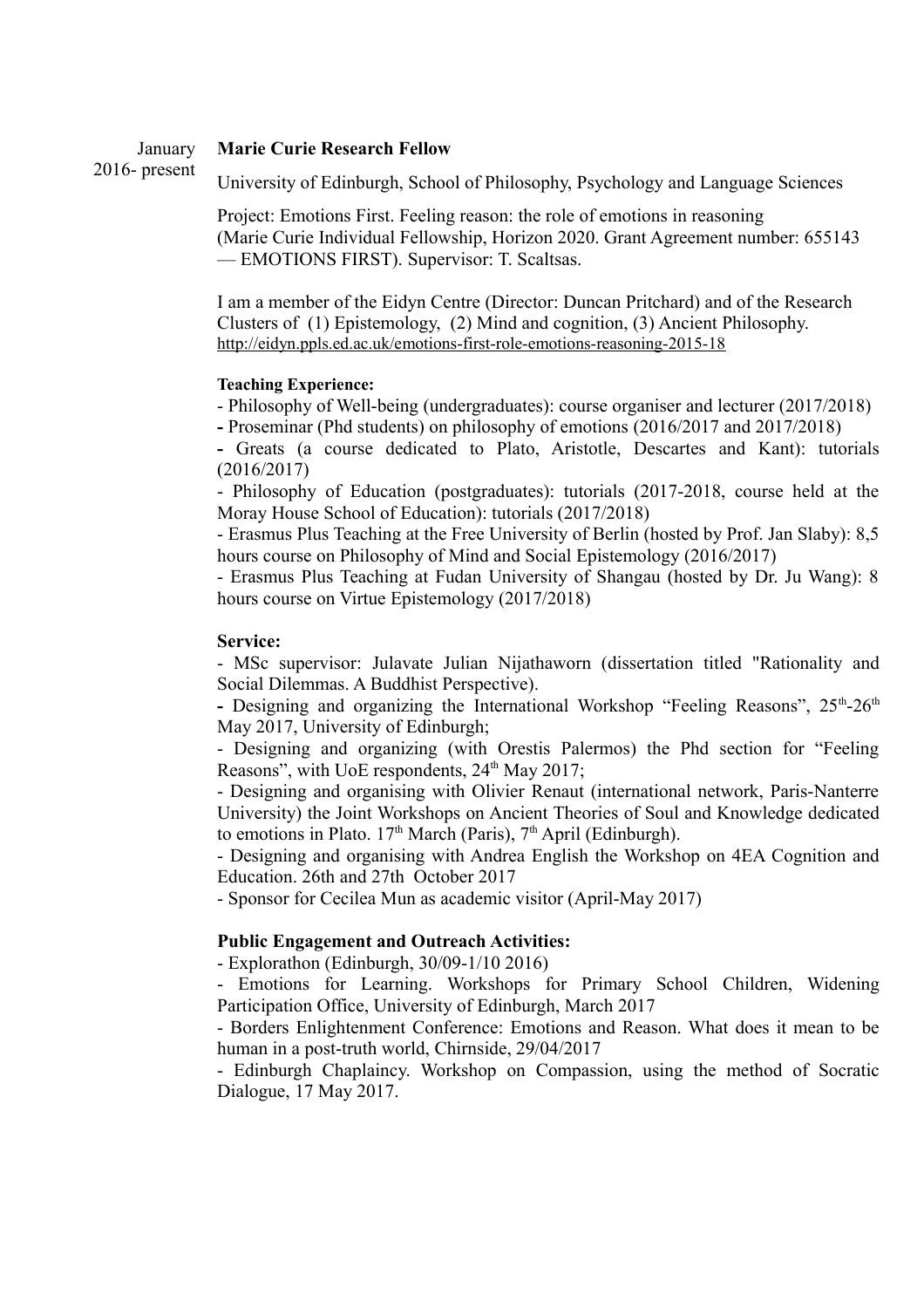#### January **Marie Curie Research Fellow**

2016- present

University of Edinburgh, School of Philosophy, Psychology and Language Sciences

Project: Emotions First. Feeling reason: the role of emotions in reasoning (Marie Curie Individual Fellowship, Horizon 2020. Grant Agreement number: 655143 — EMOTIONS FIRST). Supervisor: T. Scaltsas.

I am a member of the Eidyn Centre (Director: Duncan Pritchard) and of the Research Clusters of (1) Epistemology, (2) Mind and cognition, (3) Ancient Philosophy. <http://eidyn.ppls.ed.ac.uk/emotions-first-role-emotions-reasoning-2015-18>

## **Teaching Experience:**

- Philosophy of Well-being (undergraduates): course organiser and lecturer (2017/2018)

**-** Proseminar (Phd students) on philosophy of emotions (2016/2017 and 2017/2018)

**-** Greats (a course dedicated to Plato, Aristotle, Descartes and Kant): tutorials (2016/2017)

- Philosophy of Education (postgraduates): tutorials (2017-2018, course held at the Moray House School of Education): tutorials (2017/2018)

- Erasmus Plus Teaching at the Free University of Berlin (hosted by Prof. Jan Slaby): 8,5 hours course on Philosophy of Mind and Social Epistemology (2016/2017)

- Erasmus Plus Teaching at Fudan University of Shangau (hosted by Dr. Ju Wang): 8 hours course on Virtue Epistemology (2017/2018)

#### **Service:**

- MSc supervisor: Julavate Julian Nijathaworn (dissertation titled "Rationality and Social Dilemmas. A Buddhist Perspective).

- Designing and organizing the International Workshop "Feeling Reasons",  $25<sup>th</sup>$ - $26<sup>th</sup>$ May 2017, University of Edinburgh;

- Designing and organizing (with Orestis Palermos) the Phd section for "Feeling Reasons", with UoE respondents, 24<sup>th</sup> May 2017;

- Designing and organising with Olivier Renaut (international network, Paris-Nanterre University) the Joint Workshops on Ancient Theories of Soul and Knowledge dedicated to emotions in Plato.  $17<sup>th</sup>$  March (Paris),  $7<sup>th</sup>$  April (Edinburgh).

- Designing and organising with Andrea English the Workshop on 4EA Cognition and Education. 26th and 27th October 2017

- Sponsor for Cecilea Mun as academic visitor (April-May 2017)

#### **Public Engagement and Outreach Activities:**

- Explorathon (Edinburgh, 30/09-1/10 2016)

- Emotions for Learning. Workshops for Primary School Children, Widening Participation Office, University of Edinburgh, March 2017

- Borders Enlightenment Conference: Emotions and Reason. What does it mean to be human in a post-truth world, Chirnside, 29/04/2017

- Edinburgh Chaplaincy. Workshop on Compassion, using the method of Socratic Dialogue, 17 May 2017.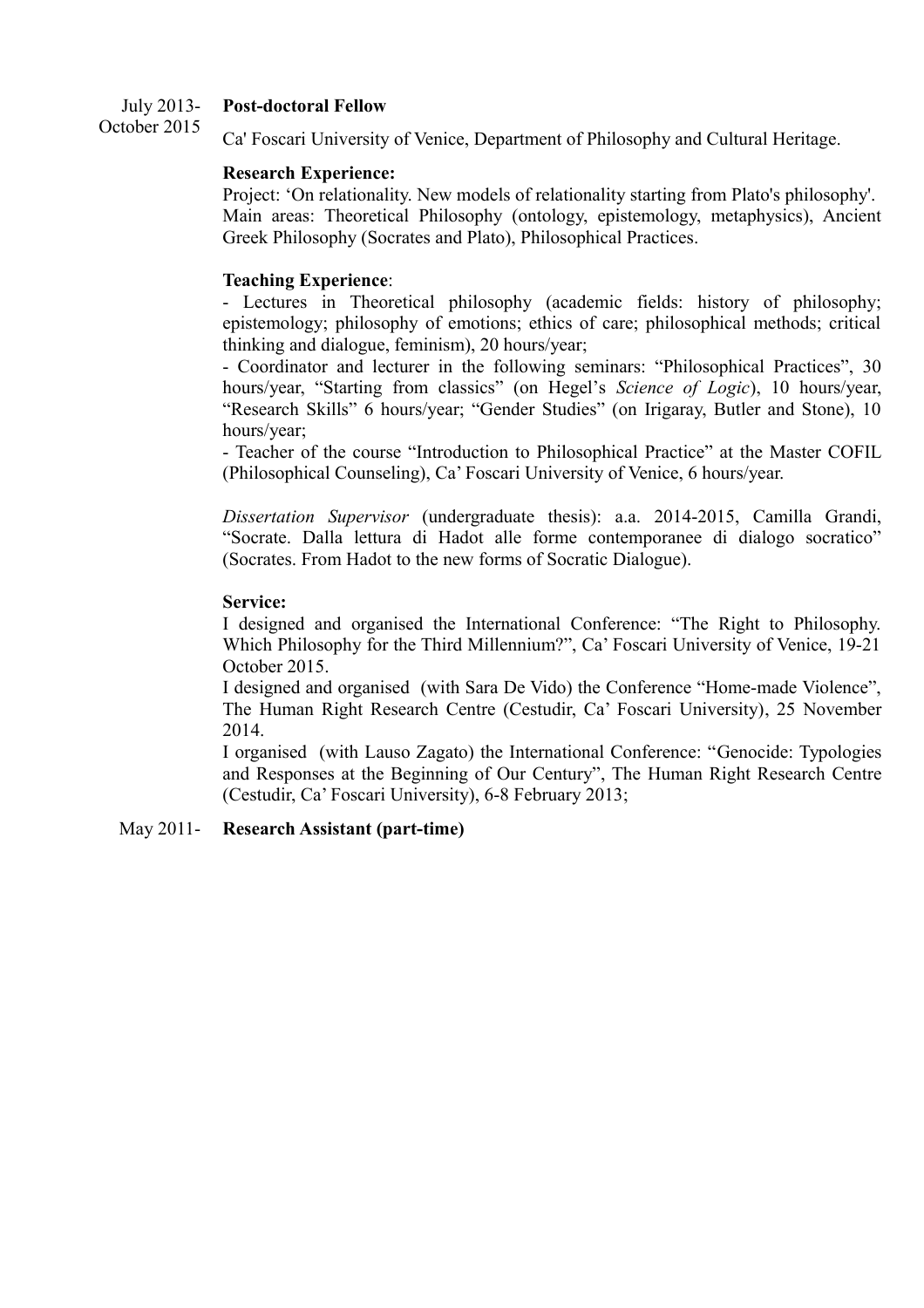#### July 2013- **Post-doctoral Fellow**

October 2015 Ca' Foscari University of Venice, Department of Philosophy and Cultural Heritage.

## **Research Experience:**

Project: 'On relationality. New models of relationality starting from Plato's philosophy'. Main areas: Theoretical Philosophy (ontology, epistemology, metaphysics), Ancient Greek Philosophy (Socrates and Plato), Philosophical Practices.

## **Teaching Experience**:

- Lectures in Theoretical philosophy (academic fields: history of philosophy; epistemology; philosophy of emotions; ethics of care; philosophical methods; critical thinking and dialogue, feminism), 20 hours/year;

- Coordinator and lecturer in the following seminars: "Philosophical Practices", 30 hours/year, "Starting from classics" (on Hegel's *Science of Logic*), 10 hours/year, "Research Skills" 6 hours/year; "Gender Studies" (on Irigaray, Butler and Stone), 10 hours/year;

- Teacher of the course "Introduction to Philosophical Practice" at the Master COFIL (Philosophical Counseling), Ca' Foscari University of Venice, 6 hours/year.

*Dissertation Supervisor* (undergraduate thesis): a.a. 2014-2015, Camilla Grandi, "Socrate. Dalla lettura di Hadot alle forme contemporanee di dialogo socratico" (Socrates. From Hadot to the new forms of Socratic Dialogue).

## **Service:**

I designed and organised the International Conference: "The Right to Philosophy. Which Philosophy for the Third Millennium?", Ca' Foscari University of Venice, 19-21 October 2015.

I designed and organised (with Sara De Vido) the Conference "Home-made Violence", The Human Right Research Centre (Cestudir, Ca' Foscari University), 25 November 2014.

I organised (with Lauso Zagato) the International Conference: "Genocide: Typologies and Responses at the Beginning of Our Century", The Human Right Research Centre (Cestudir, Ca' Foscari University), 6-8 February 2013;

## May 2011- **Research Assistant (part-time)**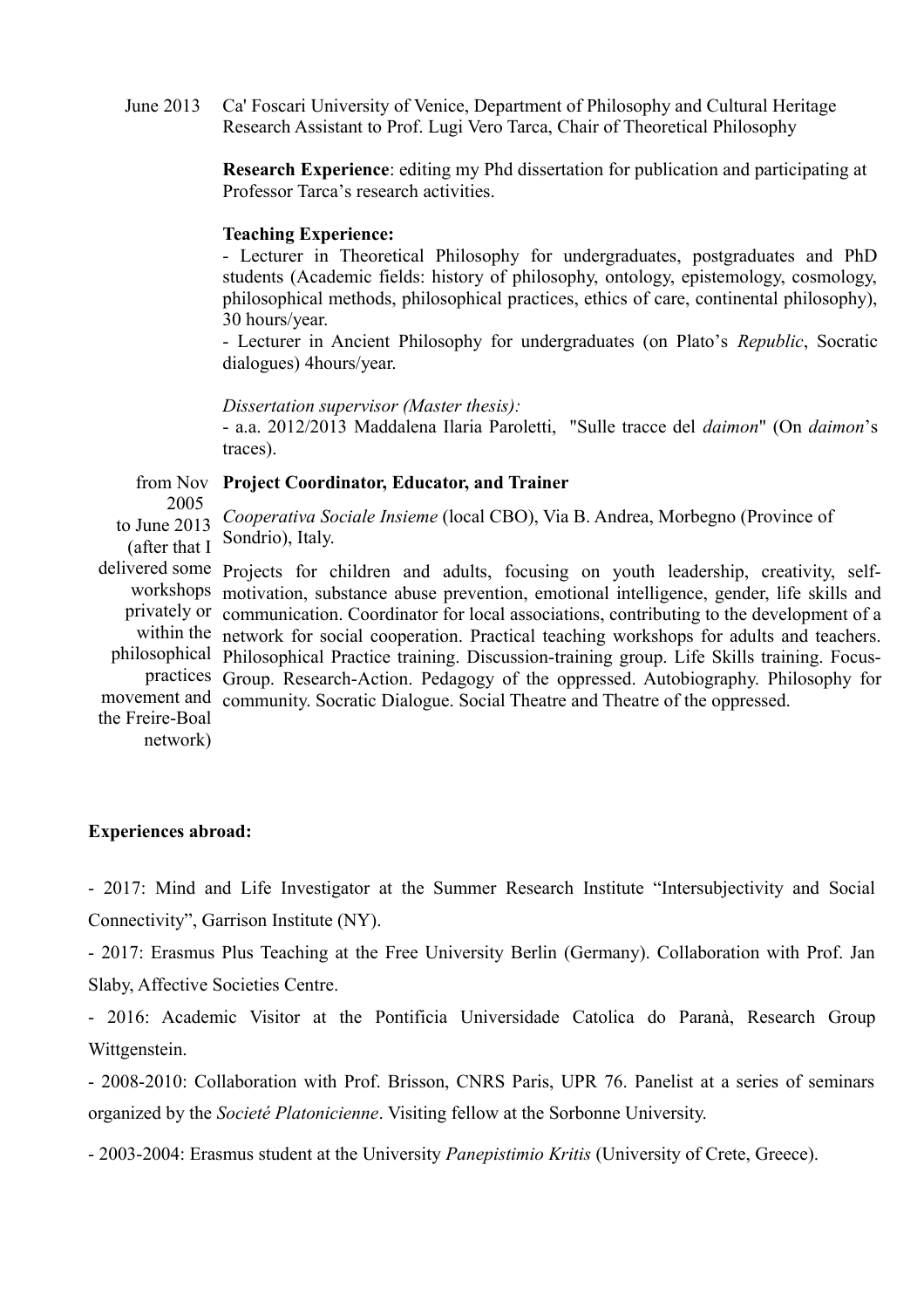June 2013 Ca' Foscari University of Venice, Department of Philosophy and Cultural Heritage Research Assistant to Prof. Lugi Vero Tarca, Chair of Theoretical Philosophy

> **Research Experience**: editing my Phd dissertation for publication and participating at Professor Tarca's research activities.

#### **Teaching Experience:**

- Lecturer in Theoretical Philosophy for undergraduates, postgraduates and PhD students (Academic fields: history of philosophy, ontology, epistemology, cosmology, philosophical methods, philosophical practices, ethics of care, continental philosophy), 30 hours/year.

- Lecturer in Ancient Philosophy for undergraduates (on Plato's *Republic*, Socratic dialogues) 4hours/year.

*Dissertation supervisor (Master thesis):*

- a.a. 2012/2013 Maddalena Ilaria Paroletti, "Sulle tracce del *daimon*" (On *daimon*'s traces).

from Nov **Project Coordinator, Educator, and Trainer** 2005 to June 2013 (after that I delivered some Projects for children and adults, focusing on youth leadership, creativity, selfworkshops motivation, substance abuse prevention, emotional intelligence, gender, life skills and privately or communication. Coordinator for local associations, contributing to the development of a within the network for social cooperation. Practical teaching workshops for adults and teachers. philosophical Philosophical Practice training. Discussion-training group. Life Skills training. Focuspractices Group. Research-Action. Pedagogy of the oppressed. Autobiography. Philosophy for movement and community. Socratic Dialogue. Social Theatre and Theatre of the oppressed. the Freire-Boal *Cooperativa Sociale Insieme* (local CBO), Via B. Andrea, Morbegno (Province of Sondrio), Italy.

network)

#### **Experiences abroad:**

- 2017: Mind and Life Investigator at the Summer Research Institute "Intersubjectivity and Social Connectivity", Garrison Institute (NY).

- 2017: Erasmus Plus Teaching at the Free University Berlin (Germany). Collaboration with Prof. Jan Slaby, Affective Societies Centre.

- 2016: Academic Visitor at the Pontificia Universidade Catolica do Paranà, Research Group Wittgenstein.

- 2008-2010: Collaboration with Prof. Brisson, CNRS Paris, UPR 76. Panelist at a series of seminars organized by the *Societé Platonicienne*. Visiting fellow at the Sorbonne University.

- 2003-2004: Erasmus student at the University *Panepistimio Kritis* (University of Crete, Greece).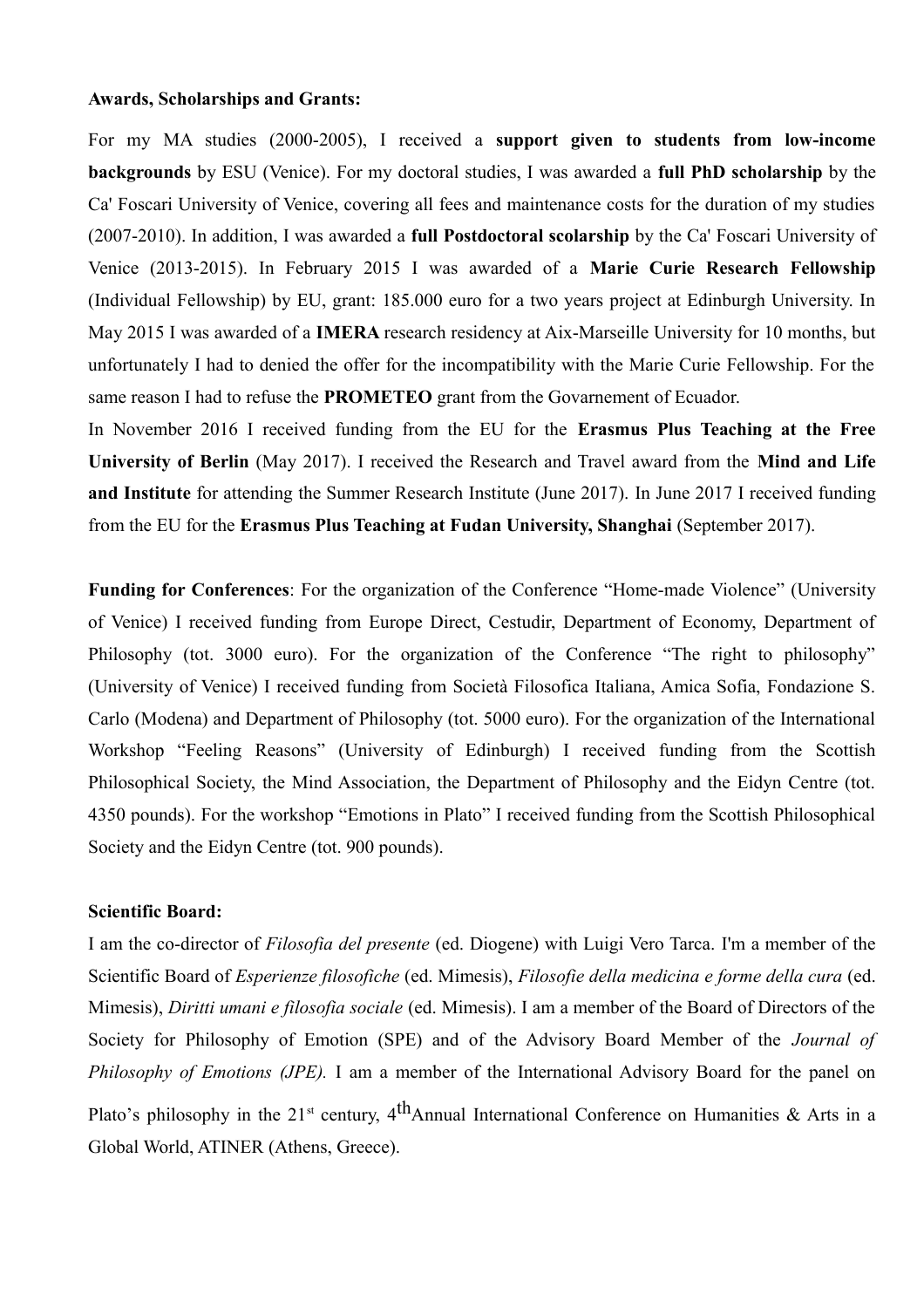#### **Awards, Scholarships and Grants:**

For my MA studies (2000-2005), I received a **support given to students from low-income backgrounds** by ESU (Venice). For my doctoral studies, I was awarded a **full PhD scholarship** by the Ca' Foscari University of Venice, covering all fees and maintenance costs for the duration of my studies (2007-2010). In addition, I was awarded a **full Postdoctoral scolarship** by the Ca' Foscari University of Venice (2013-2015). In February 2015 I was awarded of a **Marie Curie Research Fellowship** (Individual Fellowship) by EU, grant: 185.000 euro for a two years project at Edinburgh University. In May 2015 I was awarded of a **IMERA** research residency at Aix-Marseille University for 10 months, but unfortunately I had to denied the offer for the incompatibility with the Marie Curie Fellowship. For the same reason I had to refuse the **PROMETEO** grant from the Govarnement of Ecuador.

In November 2016 I received funding from the EU for the **Erasmus Plus Teaching at the Free University of Berlin** (May 2017). I received the Research and Travel award from the **Mind and Life and Institute** for attending the Summer Research Institute (June 2017). In June 2017 I received funding from the EU for the **Erasmus Plus Teaching at Fudan University, Shanghai** (September 2017).

**Funding for Conferences**: For the organization of the Conference "Home-made Violence" (University of Venice) I received funding from Europe Direct, Cestudir, Department of Economy, Department of Philosophy (tot. 3000 euro). For the organization of the Conference "The right to philosophy" (University of Venice) I received funding from Società Filosofica Italiana, Amica Sofia, Fondazione S. Carlo (Modena) and Department of Philosophy (tot. 5000 euro). For the organization of the International Workshop "Feeling Reasons" (University of Edinburgh) I received funding from the Scottish Philosophical Society, the Mind Association, the Department of Philosophy and the Eidyn Centre (tot. 4350 pounds). For the workshop "Emotions in Plato" I received funding from the Scottish Philosophical Society and the Eidyn Centre (tot. 900 pounds).

## **Scientific Board:**

I am the co-director of *Filosofia del presente* (ed. Diogene) with Luigi Vero Tarca. I'm a member of the Scientific Board of *Esperienze filosofiche* (ed. Mimesis), *Filosofie della medicina e forme della cura* (ed. Mimesis), *Diritti umani e filosofia sociale* (ed. Mimesis). I am a member of the Board of Directors of the Society for Philosophy of Emotion (SPE) and of the Advisory Board Member of the *Journal of Philosophy of Emotions (JPE).* I am a member of the International Advisory Board for the panel on Plato's philosophy in the 21<sup>st</sup> century, 4<sup>th</sup>Annual International Conference on Humanities & Arts in a Global World, ATINER (Athens, Greece).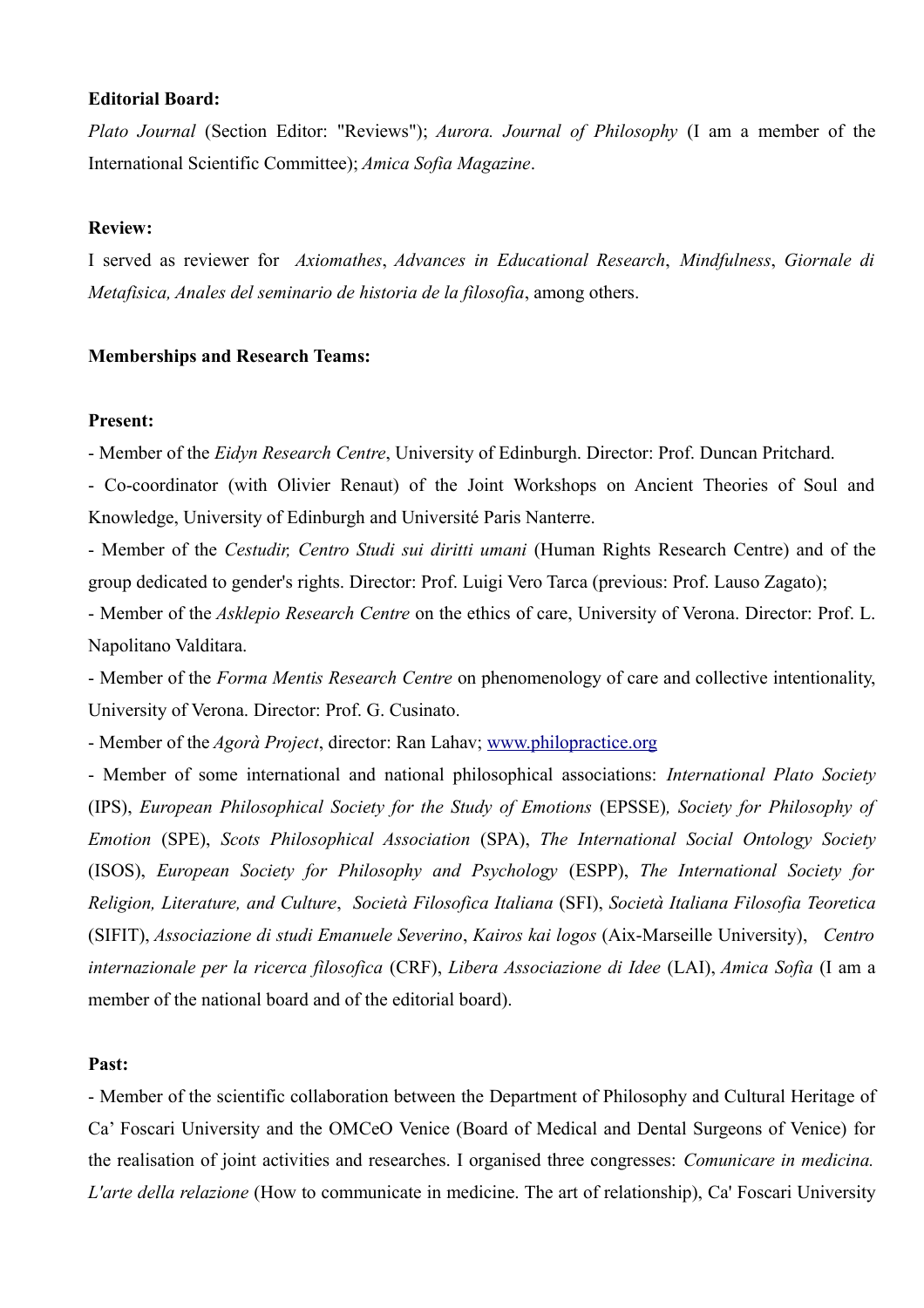#### **Editorial Board:**

*Plato Journal* (Section Editor: "Reviews"); *Aurora. Journal of Philosophy* (I am a member of the International Scientific Committee); *Amica Sofia Magazine*.

### **Review:**

I served as reviewer for *Axiomathes*, *Advances in Educational Research*, *Mindfulness*, *Giornale di Metafisica, Anales del seminario de historia de la filosofia*, among others.

## **Memberships and Research Teams:**

### **Present:**

- Member of the *Eidyn Research Centre*, University of Edinburgh. Director: Prof. Duncan Pritchard.

- Co-coordinator (with Olivier Renaut) of the Joint Workshops on Ancient Theories of Soul and Knowledge, University of Edinburgh and Université Paris Nanterre.

- Member of the *Cestudir, Centro Studi sui diritti umani* (Human Rights Research Centre) and of the group dedicated to gender's rights. Director: Prof. Luigi Vero Tarca (previous: Prof. Lauso Zagato);

- Member of the *Asklepio Research Centre* on the ethics of care, University of Verona. Director: Prof. L. Napolitano Valditara.

- Member of the *Forma Mentis Research Centre* on phenomenology of care and collective intentionality, University of Verona. Director: Prof. G. Cusinato.

- Member of the *Agorà Project*, director: Ran Lahav; [www.philopractice.org](http://www.philopractice.org/)

- Member of some international and national philosophical associations: *International Plato Society* (IPS), *European Philosophical Society for the Study of Emotions* (EPSSE)*, Society for Philosophy of Emotion* (SPE), *Scots Philosophical Association* (SPA), *The International Social Ontology Society* (ISOS), *European Society for Philosophy and Psychology* (ESPP), *The International Society for Religion, Literature, and Culture*, *Società Filosofica Italiana* (SFI), *Società Italiana Filosofia Teoretica* (SIFIT), *Associazione di studi Emanuele Severino*, *Kairos kai logos* (Aix-Marseille University), *Centro internazionale per la ricerca filosofica* (CRF), *Libera Associazione di Idee* (LAI), *Amica Sofia* (I am a member of the national board and of the editorial board).

#### **Past:**

- Member of the scientific collaboration between the Department of Philosophy and Cultural Heritage of Ca' Foscari University and the OMCeO Venice (Board of Medical and Dental Surgeons of Venice) for the realisation of joint activities and researches. I organised three congresses: *Comunicare in medicina. L'arte della relazione* (How to communicate in medicine. The art of relationship), Ca' Foscari University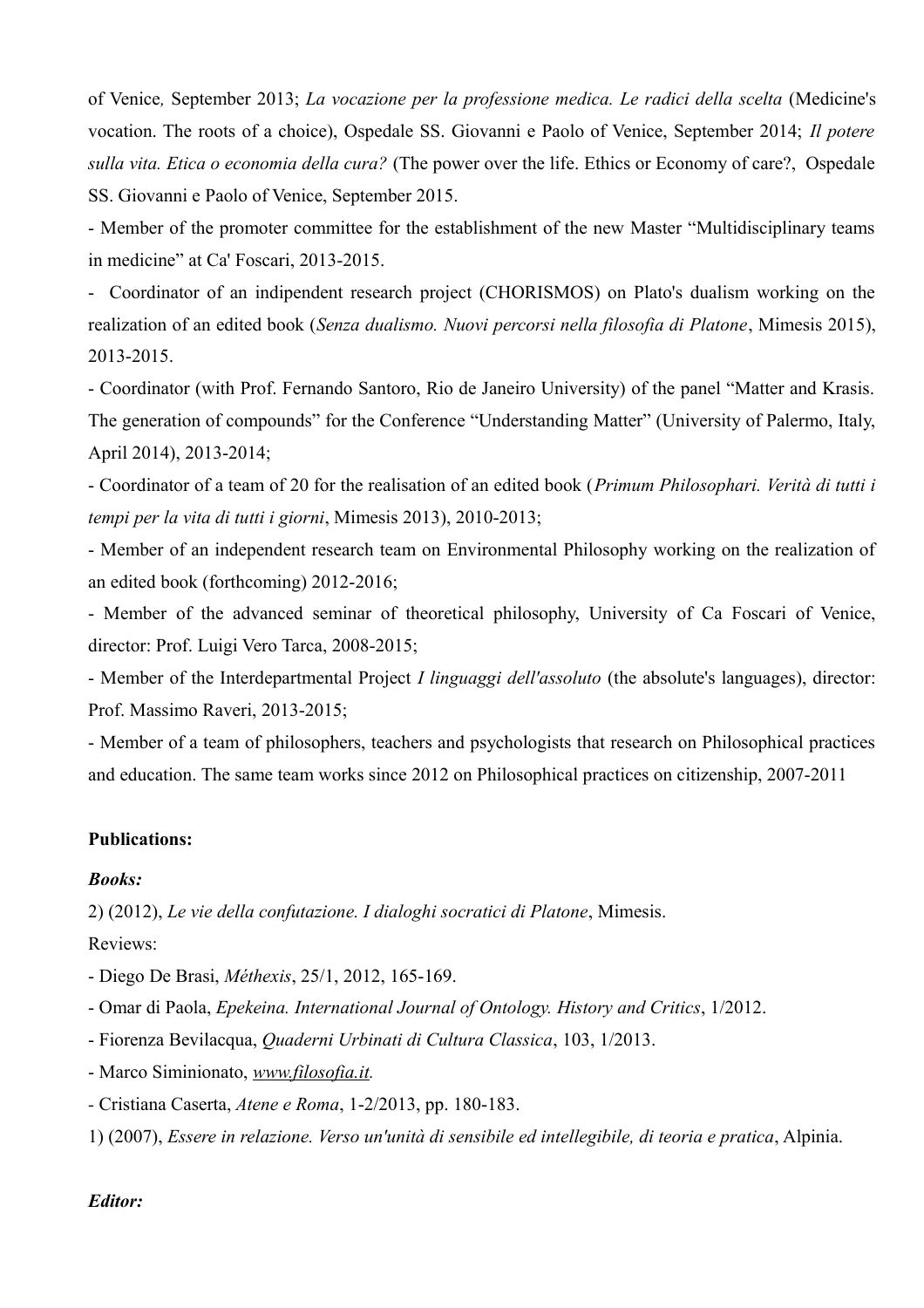of Venice*,* September 2013; *La vocazione per la professione medica. Le radici della scelta* (Medicine's vocation. The roots of a choice), Ospedale SS. Giovanni e Paolo of Venice, September 2014; *Il potere sulla vita. Etica o economia della cura?* (The power over the life. Ethics or Economy of care?, Ospedale SS. Giovanni e Paolo of Venice, September 2015.

- Member of the promoter committee for the establishment of the new Master "Multidisciplinary teams in medicine" at Ca' Foscari, 2013-2015.

- Coordinator of an indipendent research project (CHORISMOS) on Plato's dualism working on the realization of an edited book (*Senza dualismo. Nuovi percorsi nella filosofia di Platone*, Mimesis 2015), 2013-2015.

- Coordinator (with Prof. Fernando Santoro, Rio de Janeiro University) of the panel "Matter and Krasis. The generation of compounds" for the Conference "Understanding Matter" (University of Palermo, Italy, April 2014), 2013-2014;

- Coordinator of a team of 20 for the realisation of an edited book (*Primum Philosophari. Verità di tutti i tempi per la vita di tutti i giorni*, Mimesis 2013), 2010-2013;

- Member of an independent research team on Environmental Philosophy working on the realization of an edited book (forthcoming) 2012-2016;

- Member of the advanced seminar of theoretical philosophy, University of Ca Foscari of Venice, director: Prof. Luigi Vero Tarca, 2008-2015;

- Member of the Interdepartmental Project *I linguaggi dell'assoluto* (the absolute's languages), director: Prof. Massimo Raveri, 2013-2015;

- Member of a team of philosophers, teachers and psychologists that research on Philosophical practices and education. The same team works since 2012 on Philosophical practices on citizenship, 2007-2011

## **Publications:**

## *Books:*

2) (2012), *Le vie della confutazione. I dialoghi socratici di Platone*, Mimesis.

Reviews:

- Diego De Brasi, *Méthexis*, 25/1, 2012, 165-169.

- Omar di Paola, *Epekeina. International Journal of Ontology. History and Critics*, 1/2012.

- Fiorenza Bevilacqua, *Quaderni Urbinati di Cultura Classica*, 103, 1/2013.
- Marco Siminionato, *[www.filosofia.it.](http://www.filosofia.it/)*
- Cristiana Caserta, *Atene e Roma*, 1-2/2013, pp. 180-183.

1) (2007), *Essere in relazione. Verso un'unità di sensibile ed intellegibile, di teoria e pratica*, Alpinia.

## *Editor:*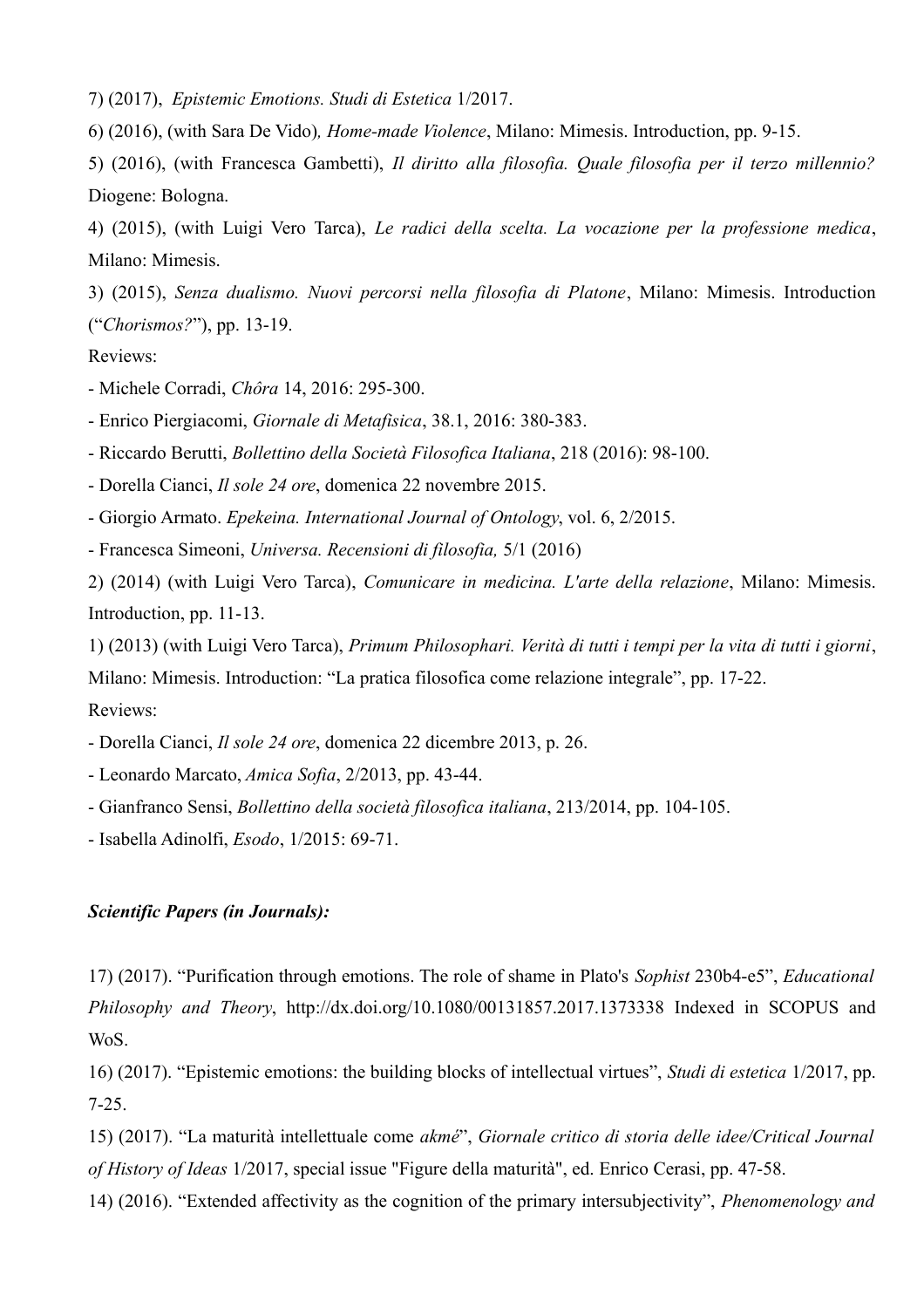7) (2017), *Epistemic Emotions. Studi di Estetica* 1/2017.

6) (2016), (with Sara De Vido)*, Home-made Violence*, Milano: Mimesis. Introduction, pp. 9-15.

5) (2016), (with Francesca Gambetti), *Il diritto alla filosofia. Quale filosofia per il terzo millennio?* Diogene: Bologna.

4) (2015), (with Luigi Vero Tarca), *Le radici della scelta. La vocazione per la professione medica*, Milano: Mimesis.

3) (2015), *Senza dualismo. Nuovi percorsi nella filosofia di Platone*, Milano: Mimesis. Introduction ("*Chorismos?*"), pp. 13-19.

## Reviews:

- Michele Corradi, *Chôra* 14, 2016: 295-300.

- Enrico Piergiacomi, *Giornale di Metafisica*, 38.1, 2016: 380-383.

- Riccardo Berutti, *Bollettino della Società Filosofica Italiana*, 218 (2016): 98-100.

- Dorella Cianci, *Il sole 24 ore*, domenica 22 novembre 2015.

- Giorgio Armato. *Epekeina. International Journal of Ontology*, vol. 6, 2/2015.

- Francesca Simeoni, *Universa. Recensioni di filosofia,* 5/1 (2016)

2) (2014) (with Luigi Vero Tarca), *Comunicare in medicina. L'arte della relazione*, Milano: Mimesis. Introduction, pp. 11-13.

1) (2013) (with Luigi Vero Tarca), *Primum Philosophari. Verità di tutti i tempi per la vita di tutti i giorni*, Milano: Mimesis. Introduction: "La pratica filosofica come relazione integrale", pp. 17-22. Reviews:

- Dorella Cianci, *Il sole 24 ore*, domenica 22 dicembre 2013, p. 26.

- Leonardo Marcato, *Amica Sofia*, 2/2013, pp. 43-44.

- Gianfranco Sensi, *Bollettino della società filosofica italiana*, 213/2014, pp. 104-105.

- Isabella Adinolfi, *Esodo*, 1/2015: 69-71.

#### *Scientific Papers (in Journals):*

17) (2017). "Purification through emotions. The role of shame in Plato's *Sophist* 230b4-e5", *Educational Philosophy and Theory*, <http://dx.doi.org/10.1080/00131857.2017.1373338> Indexed in SCOPUS and WoS.

16) (2017). "Epistemic emotions: the building blocks of intellectual virtues", *Studi di estetica* 1/2017, pp. 7-25.

15) (2017). "La maturità intellettuale come *akmé*", *Giornale critico di storia delle idee/Critical Journal of History of Ideas* 1/2017, special issue "Figure della maturità", ed. Enrico Cerasi, pp. 47-58.

14) (2016). "Extended affectivity as the cognition of the primary intersubjectivity", *Phenomenology and*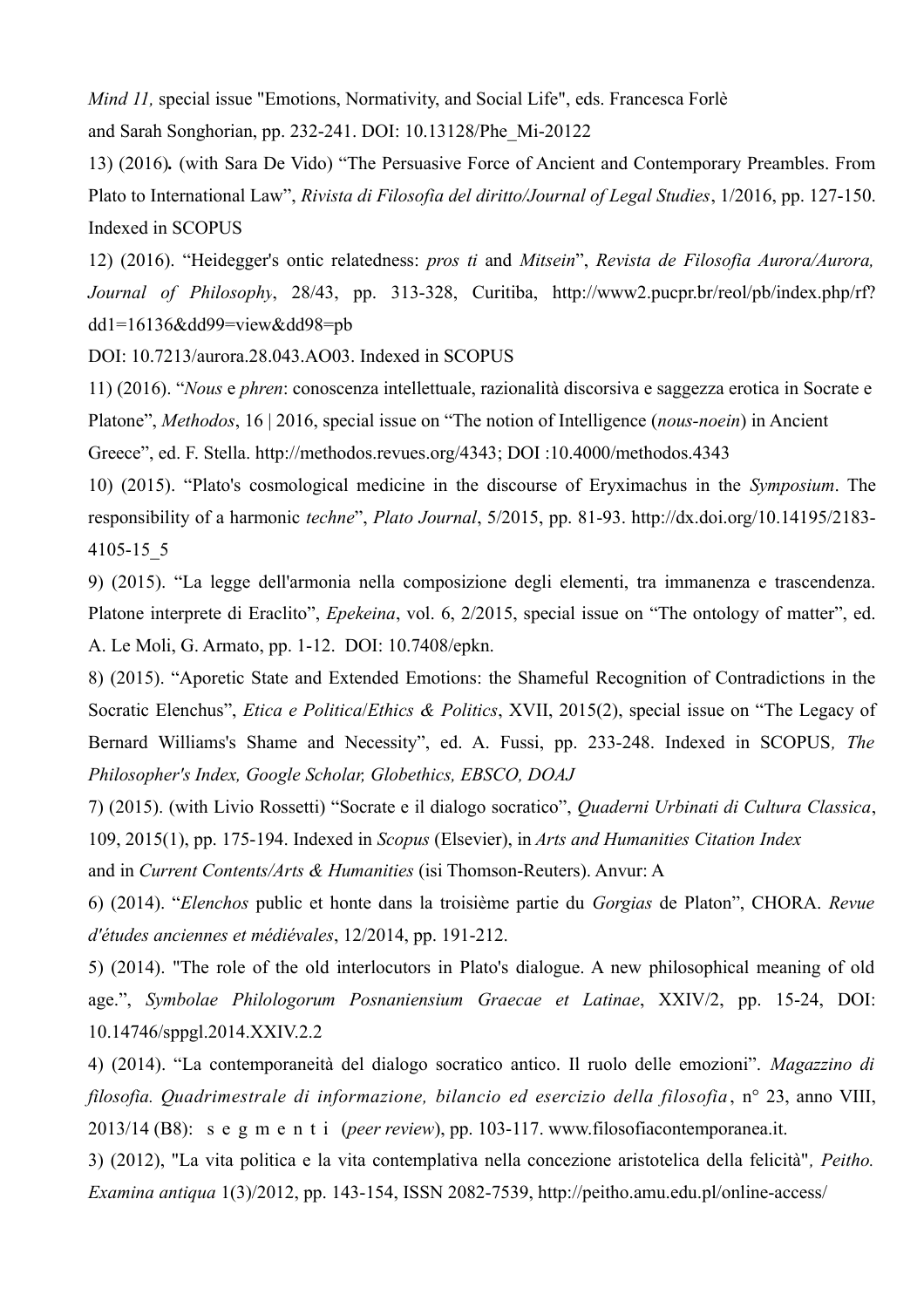*Mind 11*, special issue "Emotions, Normativity, and Social Life", eds. Francesca Forlè and Sarah Songhorian, pp. 232-241. DOI: 10.13128/Phe\_Mi-20122

13) (2016)*.* (with Sara De Vido) "The Persuasive Force of Ancient and Contemporary Preambles. From Plato to International Law", *Rivista di Filosofia del diritto/Journal of Legal Studies*, 1/2016, pp. 127-150. Indexed in SCOPUS

12) (2016). "Heidegger's ontic relatedness: *pros ti* and *Mitsein*", *Revista de Filosofia Aurora/Aurora, Journal of Philosophy*, 28/43, pp. 313-328, Curitiba, http://www2.pucpr.br/reol/pb/index.php/rf? dd1=16136&dd99=view&dd98=pb

DOI: 10.7213/aurora.28.043.AO03. Indexed in SCOPUS

11) (2016). "*Nous* e *phren*: conoscenza intellettuale, razionalità discorsiva e saggezza erotica in Socrate e Platone", *Methodos*, 16 | 2016, special issue on "The notion of Intelligence (*nous-noein*) in Ancient Greece", ed. F. Stella. http://methodos.revues.org/4343; DOI :10.4000/methodos.4343

10) (2015). "Plato's cosmological medicine in the discourse of Eryximachus in the *Symposium*. The responsibility of a harmonic *techne*", *Plato Journal*, 5/2015, pp. 81-93. http://dx.doi.org/10.14195/2183- 4105-15\_5

9) (2015). "La legge dell'armonia nella composizione degli elementi, tra immanenza e trascendenza. Platone interprete di Eraclito", *Epekeina*, vol. 6, 2/2015, special issue on "The ontology of matter", ed. A. Le Moli, G. Armato, pp. 1-12. DOI: 10.7408/epkn.

8) (2015). "Aporetic State and Extended Emotions: the Shameful Recognition of Contradictions in the Socratic Elenchus", *Etica e Politica*/*Ethics & Politics*, XVII, 2015(2), special issue on "The Legacy of Bernard Williams's Shame and Necessity", ed. A. Fussi, pp. 233-248. Indexed in SCOPUS*, The Philosopher's Index, Google Scholar, Globethics, EBSCO, DOAJ*

7) (2015). (with Livio Rossetti) "Socrate e il dialogo socratico", *Quaderni Urbinati di Cultura Classica*, 109, 2015(1), pp. 175-194. Indexed in *Scopus* (Elsevier), in *Arts and Humanities Citation Index*

and in *Current Contents/Arts & Humanities* (isi Thomson-Reuters). Anvur: A

6) (2014). "*Elenchos* public et honte dans la troisième partie du *Gorgias* de Platon", CHORA. *Revue d'études anciennes et médiévales*, 12/2014, pp. 191-212.

5) (2014). "The role of the old interlocutors in Plato's dialogue. A new philosophical meaning of old age.", *Symbolae Philologorum Posnaniensium Graecae et Latinae*, XXIV/2, pp. 15-24, DOI: 10.14746/sppgl.2014.XXIV.2.2

4) (2014). "La contemporaneità del dialogo socratico antico. Il ruolo delle emozioni". *Magazzino di filosofia. Quadrimestrale di informazione, bilancio ed esercizio della filosofia* , n° 23, anno VIII, 2013/14 (B8): s e g m e n t i (*peer review*), pp. 103-117. www.filosofiacontemporanea.it.

3) (2012), "La vita politica e la vita contemplativa nella concezione aristotelica della felicità"*, Peitho. Examina antiqua* 1(3)/2012, pp. 143-154, ISSN 2082-7539, http://peitho.amu.edu.pl/online-access/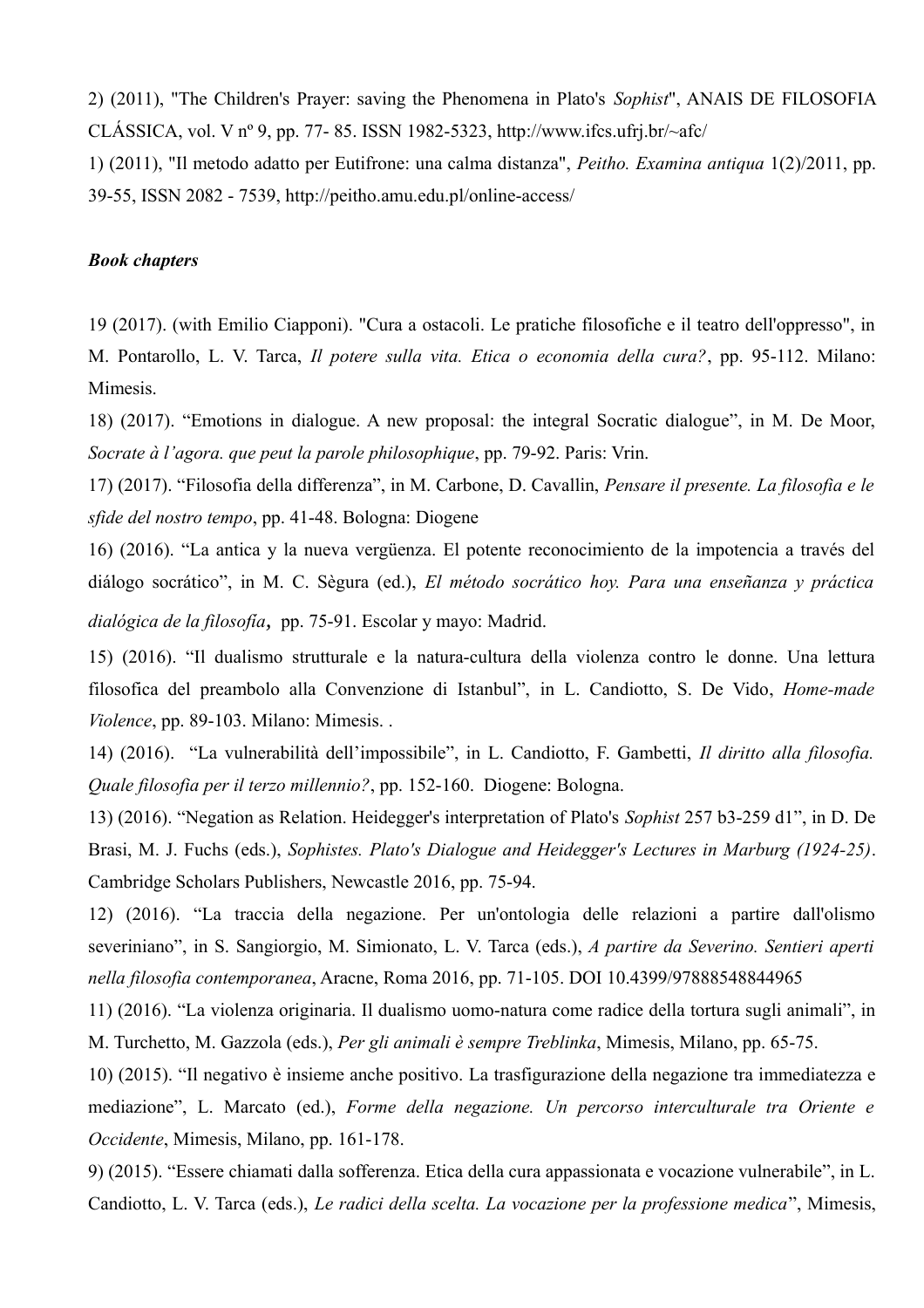2) (2011), "The Children's Prayer: saving the Phenomena in Plato's *Sophist*", ANAIS DE FILOSOFIA CLÁSSICA, vol. V nº 9, pp. 77-85. ISSN 1982-5323, http://www.ifcs.ufrj.br/~afc/

1) (2011), "Il metodo adatto per Eutifrone: una calma distanza", *Peitho. Examina antiqua* 1(2)/2011, pp. 39-55, ISSN 2082 - 7539,<http://peitho.amu.edu.pl/online-access/>

#### *Book chapters*

19 (2017). (with Emilio Ciapponi). "Cura a ostacoli. Le pratiche filosofiche e il teatro dell'oppresso", in M. Pontarollo, L. V. Tarca, *Il potere sulla vita. Etica o economia della cura?*, pp. 95-112. Milano: Mimesis.

18) (2017). "Emotions in dialogue. A new proposal: the integral Socratic dialogue", in M. De Moor, *Socrate à l'agora. que peut la parole philosophique*, pp. 79-92. Paris: Vrin.

17) (2017). "Filosofia della differenza", in M. Carbone, D. Cavallin, *Pensare il presente. La filosofia e le sfide del nostro tempo*, pp. 41-48. Bologna: Diogene

16) (2016). "La antica y la nueva vergüenza. El potente reconocimiento de la impotencia a través del diálogo socrático", in M. C. Sègura (ed.), *El método socrático hoy. Para una enseñanza y práctica dialógica de la filosofía,* pp. 75-91. Escolar y mayo: Madrid.

15) (2016). "Il dualismo strutturale e la natura-cultura della violenza contro le donne. Una lettura filosofica del preambolo alla Convenzione di Istanbul", in L. Candiotto, S. De Vido, *Home-made Violence*, pp. 89-103. Milano: Mimesis. .

14) (2016). "La vulnerabilità dell'impossibile", in L. Candiotto, F. Gambetti, *Il diritto alla filosofia. Quale filosofia per il terzo millennio?*, pp. 152-160. Diogene: Bologna.

13) (2016). "Negation as Relation. Heidegger's interpretation of Plato's *Sophist* 257 b3-259 d1", in D. De Brasi, M. J. Fuchs (eds.), *Sophistes. Plato's Dialogue and Heidegger's Lectures in Marburg (1924-25)*. Cambridge Scholars Publishers, Newcastle 2016, pp. 75-94.

12) (2016). "La traccia della negazione. Per un'ontologia delle relazioni a partire dall'olismo severiniano", in S. Sangiorgio, M. Simionato, L. V. Tarca (eds.), *A partire da Severino. Sentieri aperti nella filosofia contemporanea*, Aracne, Roma 2016, pp. 71-105. DOI 10.4399/97888548844965

11) (2016). "La violenza originaria. Il dualismo uomo-natura come radice della tortura sugli animali", in M. Turchetto, M. Gazzola (eds.), *Per gli animali è sempre Treblinka*, Mimesis, Milano, pp. 65-75.

10) (2015). "Il negativo è insieme anche positivo. La trasfigurazione della negazione tra immediatezza e mediazione", L. Marcato (ed.), *Forme della negazione. Un percorso interculturale tra Oriente e Occidente*, Mimesis, Milano, pp. 161-178.

9) (2015). "Essere chiamati dalla sofferenza. Etica della cura appassionata e vocazione vulnerabile", in L. Candiotto, L. V. Tarca (eds.), *Le radici della scelta. La vocazione per la professione medica*", Mimesis,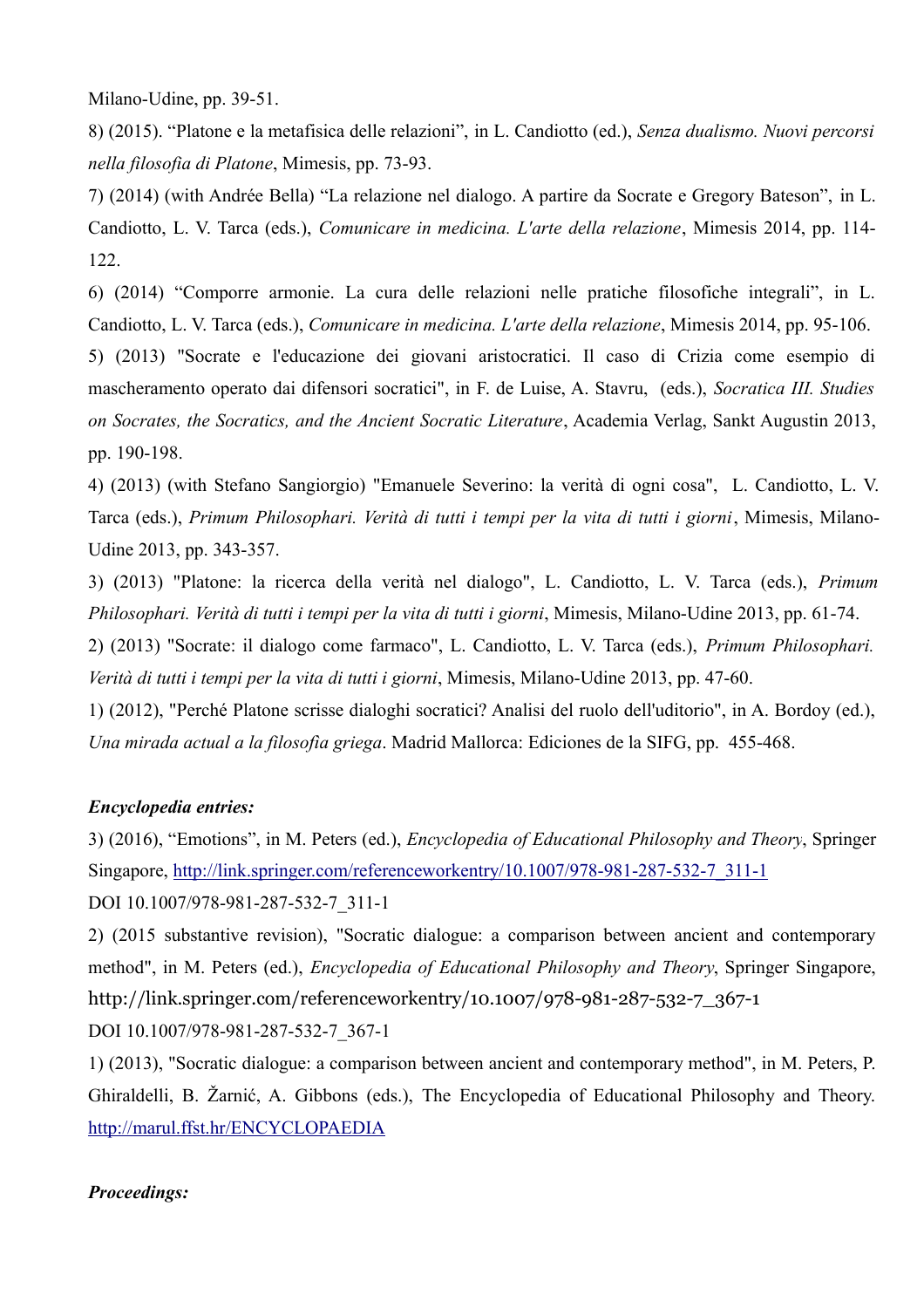Milano-Udine, pp. 39-51.

8) (2015). "Platone e la metafisica delle relazioni", in L. Candiotto (ed.), *Senza dualismo. Nuovi percorsi nella filosofia di Platone*, Mimesis, pp. 73-93.

7) (2014) (with Andrée Bella) "La relazione nel dialogo. A partire da Socrate e Gregory Bateson", in L. Candiotto, L. V. Tarca (eds.), *Comunicare in medicina. L'arte della relazione*, Mimesis 2014, pp. 114- 122.

6) (2014) "Comporre armonie. La cura delle relazioni nelle pratiche filosofiche integrali", in L. Candiotto, L. V. Tarca (eds.), *Comunicare in medicina. L'arte della relazione*, Mimesis 2014, pp. 95-106. 5) (2013) "Socrate e l'educazione dei giovani aristocratici. Il caso di Crizia come esempio di mascheramento operato dai difensori socratici", in F. de Luise, A. Stavru, (eds.), *Socratica III. Studies on Socrates, the Socratics, and the Ancient Socratic Literature*, Academia Verlag, Sankt Augustin 2013, pp. 190-198.

4) (2013) (with Stefano Sangiorgio) "Emanuele Severino: la verità di ogni cosa", L. Candiotto, L. V. Tarca (eds.), *Primum Philosophari. Verità di tutti i tempi per la vita di tutti i giorni*, Mimesis, Milano-Udine 2013, pp. 343-357.

3) (2013) "Platone: la ricerca della verità nel dialogo", L. Candiotto, L. V. Tarca (eds.), *Primum Philosophari. Verità di tutti i tempi per la vita di tutti i giorni*, Mimesis, Milano-Udine 2013, pp. 61-74.

2) (2013) "Socrate: il dialogo come farmaco", L. Candiotto, L. V. Tarca (eds.), *Primum Philosophari. Verità di tutti i tempi per la vita di tutti i giorni*, Mimesis, Milano-Udine 2013, pp. 47-60.

1) (2012), "Perché Platone scrisse dialoghi socratici? Analisi del ruolo dell'uditorio", in A. Bordoy (ed.), *Una mirada actual a la filosofìa griega*. Madrid Mallorca: Ediciones de la SIFG, pp. 455-468.

## *Encyclopedia entries:*

3) (2016), "Emotions", in M. Peters (ed.), *Encyclopedia of Educational Philosophy and Theory*, Springer Singapore, [http://link.springer.com/referenceworkentry/10.1007/978-981-287-532-7\\_311-1](http://link.springer.com/referenceworkentry/10.1007/978-981-287-532-7_311-1) DOI 10.1007/978-981-287-532-7\_311-1

2) (2015 substantive revision), "Socratic dialogue: a comparison between ancient and contemporary method", in M. Peters (ed.), *Encyclopedia of Educational Philosophy and Theory*, Springer Singapore, http://link.springer.com/referenceworkentry/10.1007/978-981-287-532-7\_367-1 DOI 10.1007/978-981-287-532-7\_367-1

1) (2013), "Socratic dialogue: a comparison between ancient and contemporary method", in M. Peters, P. Ghiraldelli, B. Žarnić, A. Gibbons (eds.), The Encyclopedia of Educational Philosophy and Theory. <http://marul.ffst.hr/ENCYCLOPAEDIA>

## *Proceedings:*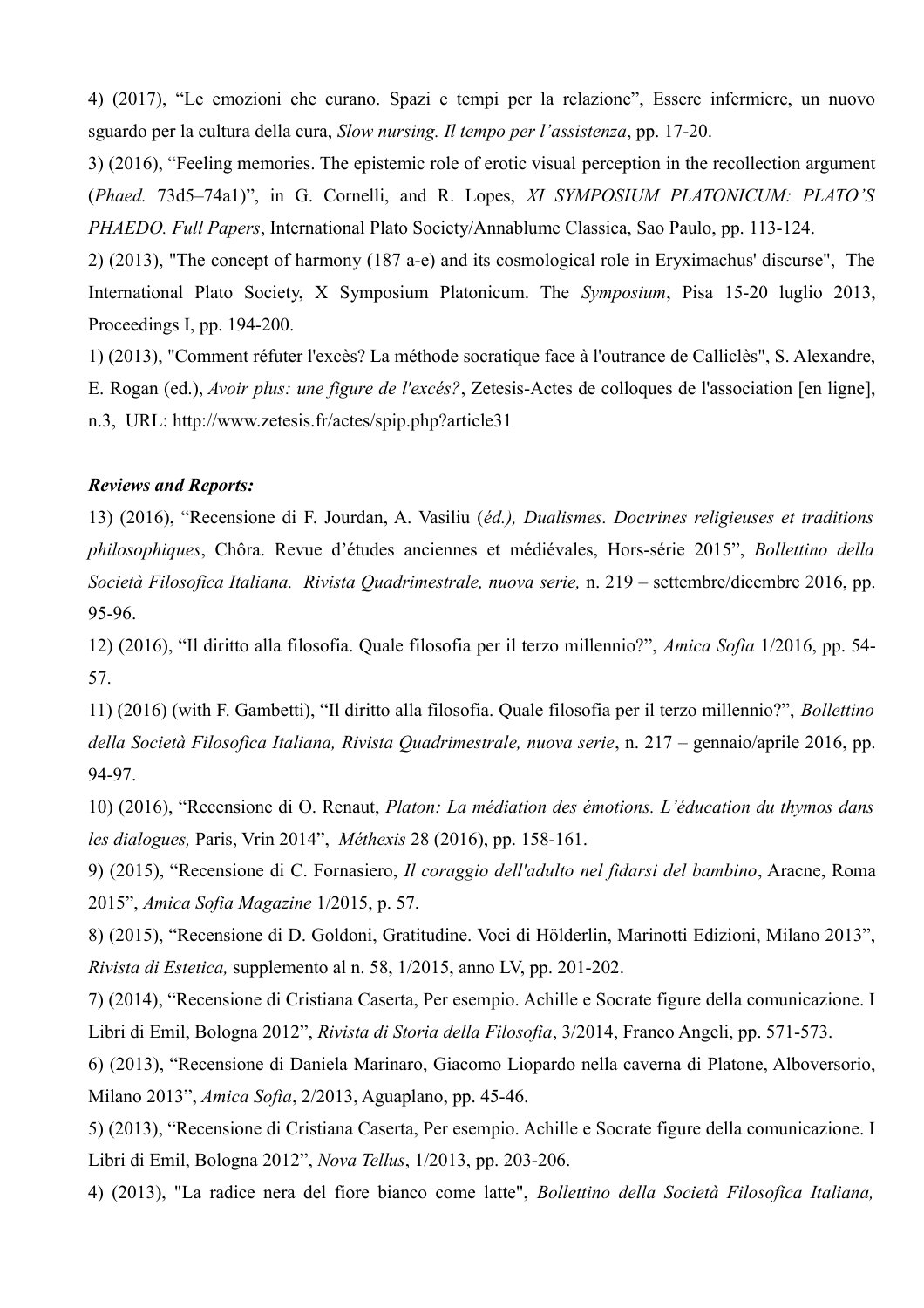4) (2017), "Le emozioni che curano. Spazi e tempi per la relazione", Essere infermiere, un nuovo sguardo per la cultura della cura, *Slow nursing. Il tempo per l'assistenza*, pp. 17-20.

3) (2016), "Feeling memories. The epistemic role of erotic visual perception in the recollection argument (*Phaed.* 73d5–74a1)", in G. Cornelli, and R. Lopes, *XI SYMPOSIUM PLATONICUM: PLATO'S PHAEDO. Full Papers*, International Plato Society/Annablume Classica, Sao Paulo, pp. 113-124.

2) (2013), "The concept of harmony (187 a-e) and its cosmological role in Eryximachus' discurse", The International Plato Society, X Symposium Platonicum. The *Symposium*, Pisa 15-20 luglio 2013, Proceedings I, pp. 194-200.

1) (2013), "Comment réfuter l'excès? La méthode socratique face à l'outrance de Calliclès", S. Alexandre, E. Rogan (ed.), *Avoir plus: une figure de l'excés?*, Zetesis-Actes de colloques de l'association [en ligne], n.3, URL: http://www.zetesis.fr/actes/spip.php?article31

## *Reviews and Reports:*

13) (2016), "Recensione di F. Jourdan, A. Vasiliu (*éd.), Dualismes. Doctrines religieuses et traditions philosophiques*, Chôra. Revue d'études anciennes et médiévales, Hors-série 2015", *Bollettino della Società Filosofica Italiana. Rivista Quadrimestrale, nuova serie,* n. 219 – settembre/dicembre 2016, pp. 95-96.

12) (2016), "Il diritto alla filosofia. Quale filosofia per il terzo millennio?", *Amica Sofia* 1/2016, pp. 54- 57.

11) (2016) (with F. Gambetti), "Il diritto alla filosofia. Quale filosofia per il terzo millennio?", *Bollettino della Società Filosofica Italiana, Rivista Quadrimestrale, nuova serie*, n. 217 – gennaio/aprile 2016, pp. 94-97.

10) (2016), "Recensione di O. Renaut, *Platon: La médiation des émotions. L'éducation du thymos dans les dialogues,* Paris, Vrin 2014", *Méthexis* 28 (2016), pp. 158-161.

9) (2015), "Recensione di C. Fornasiero, *Il coraggio dell'adulto nel fidarsi del bambino*, Aracne, Roma 2015", *Amica Sofia Magazine* 1/2015, p. 57.

8) (2015), "Recensione di D. Goldoni, Gratitudine. Voci di Hölderlin, Marinotti Edizioni, Milano 2013", *Rivista di Estetica,* supplemento al n. 58, 1/2015, anno LV, pp. 201-202.

7) (2014), "Recensione di Cristiana Caserta, Per esempio. Achille e Socrate figure della comunicazione. I Libri di Emil, Bologna 2012", *Rivista di Storia della Filosofia*, 3/2014, Franco Angeli, pp. 571-573.

6) (2013), "Recensione di Daniela Marinaro, Giacomo Liopardo nella caverna di Platone, Alboversorio, Milano 2013", *Amica Sofia*, 2/2013, Aguaplano, pp. 45-46.

5) (2013), "Recensione di Cristiana Caserta, Per esempio. Achille e Socrate figure della comunicazione. I Libri di Emil, Bologna 2012", *Nova Tellus*, 1/2013, pp. 203-206.

4) (2013), "La radice nera del fiore bianco come latte", *Bollettino della Società Filosofica Italiana,*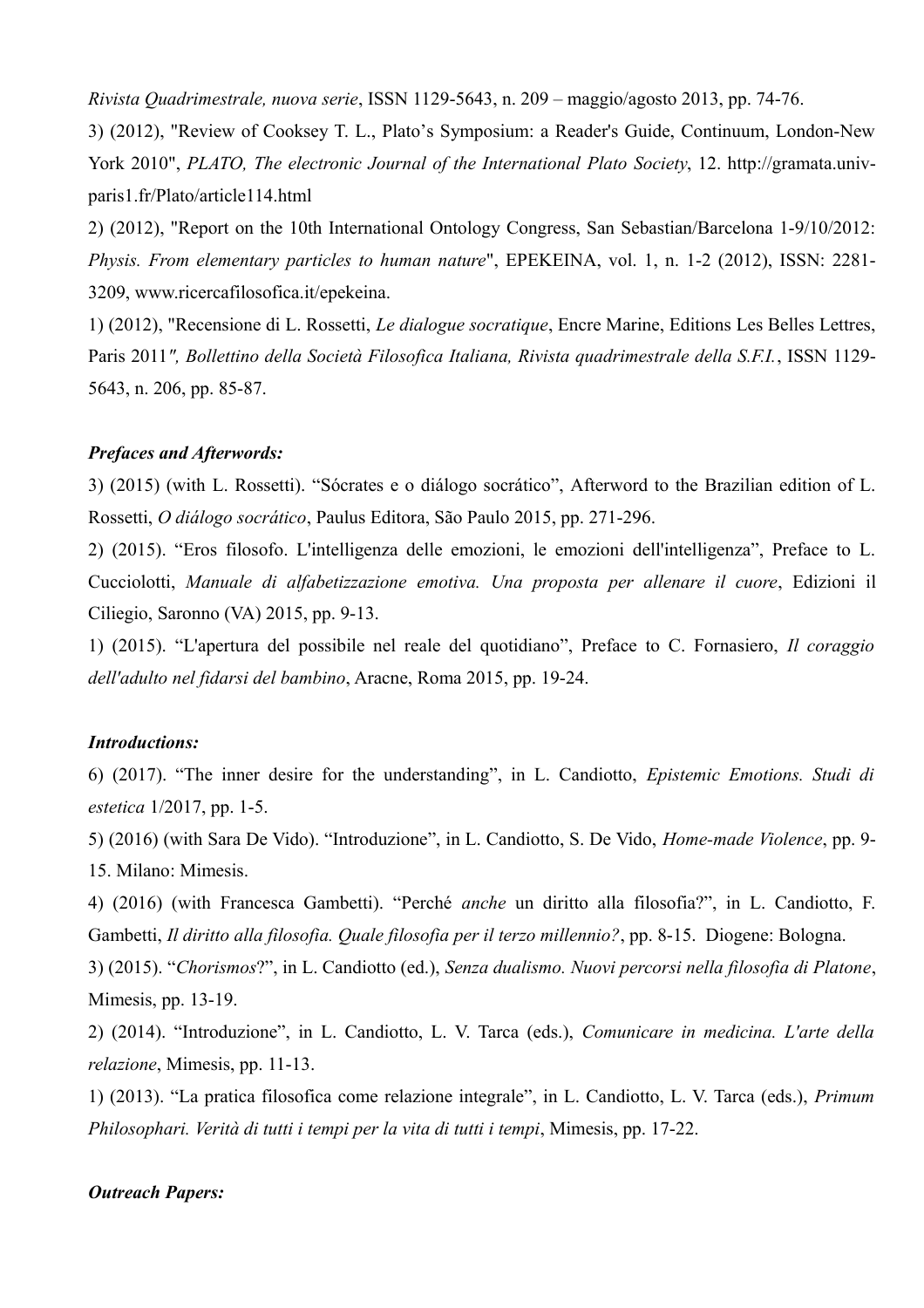*Rivista Quadrimestrale, nuova serie*, ISSN 1129-5643, n. 209 – maggio/agosto 2013, pp. 74-76.

3) (2012), "Review of Cooksey T. L., Plato's Symposium: a Reader's Guide, Continuum, London-New York 2010", *PLATO, The electronic Journal of the International Plato Society*, 12. http://gramata.univparis1.fr/Plato/article114.html

2) (2012), "Report on the 10th International Ontology Congress, San Sebastian/Barcelona 1-9/10/2012: *Physis. From elementary particles to human nature*", EPEKEINA, vol. 1, n. 1-2 (2012), ISSN: 2281- 3209, www.ricercafilosofica.it/epekeina.

1) (2012), "Recensione di L. Rossetti, *Le dialogue socratique*, Encre Marine, Editions Les Belles Lettres, Paris 2011*", Bollettino della Società Filosofica Italiana, Rivista quadrimestrale della S.F.I.*, ISSN 1129- 5643, n. 206, pp. 85-87.

#### *Prefaces and Afterwords:*

3) (2015) (with L. Rossetti). "Sócrates e o diálogo socrático", Afterword to the Brazilian edition of L. Rossetti, *O diálogo socrático*, Paulus Editora, São Paulo 2015, pp. 271-296.

2) (2015). "Eros filosofo. L'intelligenza delle emozioni, le emozioni dell'intelligenza", Preface to L. Cucciolotti, *Manuale di alfabetizzazione emotiva. Una proposta per allenare il cuore*, Edizioni il Ciliegio, Saronno (VA) 2015, pp. 9-13.

1) (2015). "L'apertura del possibile nel reale del quotidiano", Preface to C. Fornasiero, *Il coraggio dell'adulto nel fidarsi del bambino*, Aracne, Roma 2015, pp. 19-24.

## *Introductions:*

6) (2017). "The inner desire for the understanding", in L. Candiotto, *Epistemic Emotions. Studi di estetica* 1/2017, pp. 1-5.

5) (2016) (with Sara De Vido). "Introduzione", in L. Candiotto, S. De Vido, *Home-made Violence*, pp. 9- 15. Milano: Mimesis.

4) (2016) (with Francesca Gambetti). "Perché *anche* un diritto alla filosofia?", in L. Candiotto, F. Gambetti, *Il diritto alla filosofia. Quale filosofia per il terzo millennio?*, pp. 8-15. Diogene: Bologna.

3) (2015). "*Chorismos*?", in L. Candiotto (ed.), *Senza dualismo. Nuovi percorsi nella filosofia di Platone*, Mimesis, pp. 13-19.

2) (2014). "Introduzione", in L. Candiotto, L. V. Tarca (eds.), *Comunicare in medicina. L'arte della relazione*, Mimesis, pp. 11-13.

1) (2013). "La pratica filosofica come relazione integrale", in L. Candiotto, L. V. Tarca (eds.), *Primum Philosophari. Verità di tutti i tempi per la vita di tutti i tempi*, Mimesis, pp. 17-22.

#### *Outreach Papers:*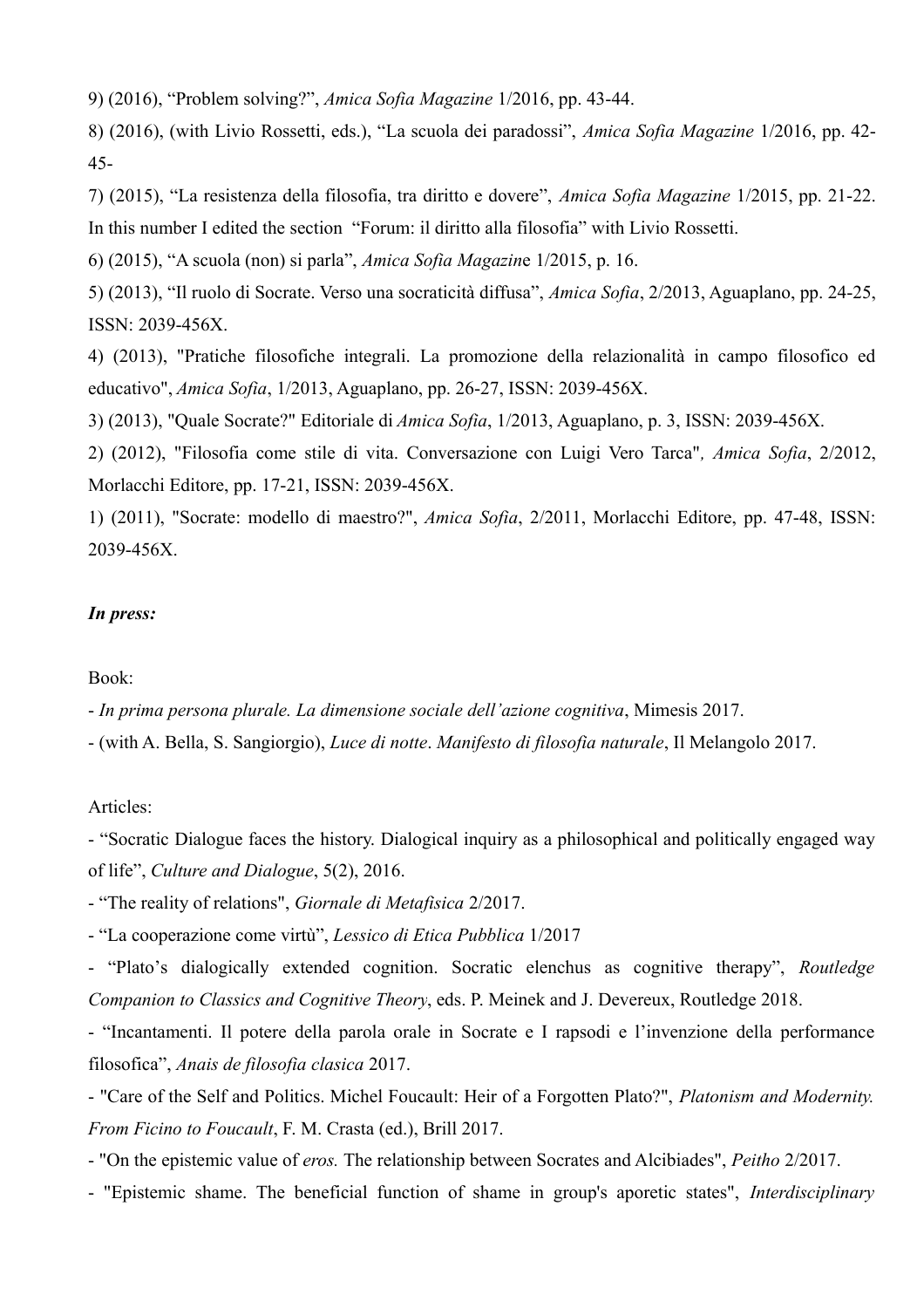9) (2016), "Problem solving?", *Amica Sofia Magazine* 1/2016, pp. 43-44.

8) (2016), (with Livio Rossetti, eds.), "La scuola dei paradossi", *Amica Sofia Magazine* 1/2016, pp. 42- 45-

7) (2015), "La resistenza della filosofia, tra diritto e dovere", *Amica Sofia Magazine* 1/2015, pp. 21-22. In this number I edited the section "Forum: il diritto alla filosofia" with Livio Rossetti.

6) (2015), "A scuola (non) si parla", *Amica Sofia Magazin*e 1/2015, p. 16.

5) (2013), "Il ruolo di Socrate. Verso una socraticità diffusa", *Amica Sofia*, 2/2013, Aguaplano, pp. 24-25, ISSN: 2039-456X.

4) (2013), "Pratiche filosofiche integrali. La promozione della relazionalità in campo filosofico ed educativo", *Amica Sofia*, 1/2013, Aguaplano, pp. 26-27, ISSN: 2039-456X.

3) (2013), "Quale Socrate?" Editoriale di *Amica Sofia*, 1/2013, Aguaplano, p. 3, ISSN: 2039-456X.

2) (2012), "Filosofia come stile di vita. Conversazione con Luigi Vero Tarca"*, Amica Sofia*, 2/2012, Morlacchi Editore, pp. 17-21, ISSN: 2039-456X.

1) (2011), "Socrate: modello di maestro?", *Amica Sofia*, 2/2011, Morlacchi Editore, pp. 47-48, ISSN: 2039-456X.

## *In press:*

Book:

- *In prima persona plurale. La dimensione sociale dell'azione cognitiva*, Mimesis 2017.

- (with A. Bella, S. Sangiorgio), *Luce di notte*. *Manifesto di filosofia naturale*, Il Melangolo 2017.

Articles:

- "Socratic Dialogue faces the history. Dialogical inquiry as a philosophical and politically engaged way of life", *Culture and Dialogue*, 5(2), 2016.

- "The reality of relations", *Giornale di Metafisica* 2/2017.

- "La cooperazione come virtù", *Lessico di Etica Pubblica* 1/2017

- "Plato's dialogically extended cognition. Socratic elenchus as cognitive therapy", *Routledge Companion to Classics and Cognitive Theory*, eds. P. Meinek and J. Devereux, Routledge 2018.

- "Incantamenti. Il potere della parola orale in Socrate e I rapsodi e l'invenzione della performance filosofica", *Anais de filosofia clasica* 2017.

- "Care of the Self and Politics. Michel Foucault: Heir of a Forgotten Plato?", *Platonism and Modernity. From Ficino to Foucault*, F. M. Crasta (ed.), Brill 2017.

- "On the epistemic value of *eros.* The relationship between Socrates and Alcibiades", *Peitho* 2/2017.

- "Epistemic shame. The beneficial function of shame in group's aporetic states", *Interdisciplinary*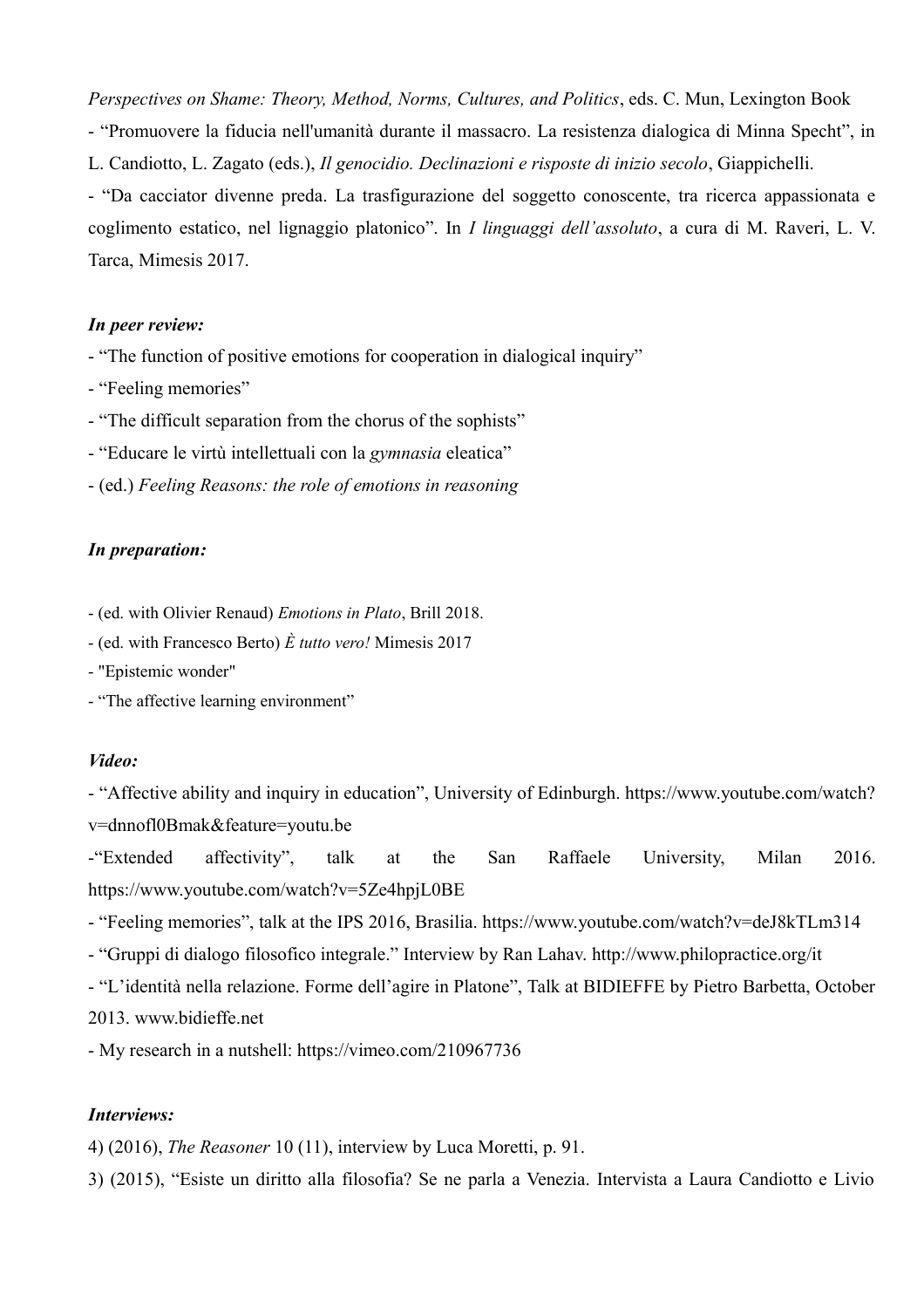*Perspectives on Shame: Theory, Method, Norms, Cultures, and Politics*, eds. C. Mun, Lexington Book - "Promuovere la fiducia nell'umanità durante il massacro. La resistenza dialogica di Minna Specht", in L. Candiotto, L. Zagato (eds.), *Il genocidio. Declinazioni e risposte di inizio secolo*, Giappichelli. - "Da cacciator divenne preda. La trasfigurazione del soggetto conoscente, tra ricerca appassionata e coglimento estatico, nel lignaggio platonico". In *I linguaggi dell'assoluto*, a cura di M. Raveri, L. V. Tarca, Mimesis 2017.

#### *In peer review:*

- "The function of positive emotions for cooperation in dialogical inquiry"
- "Feeling memories"
- "The difficult separation from the chorus of the sophists"
- "Educare le virtù intellettuali con la *gymnasia* eleatica"
- (ed.) *Feeling Reasons: the role of emotions in reasoning*

## *In preparation:*

- (ed. with Olivier Renaud) *Emotions in Plato*, Brill 2018.
- (ed. with Francesco Berto) *È tutto vero!* Mimesis 2017
- "Epistemic wonder"
- "The affective learning environment"

## *Video:*

- "Affective ability and inquiry in education", University of Edinburgh. https://www.youtube.com/watch? v=dnnofl0Bmak&feature=youtu.be

-"Extended affectivity", talk at the San Raffaele University, Milan 2016. https://www.youtube.com/watch?v=5Ze4hpjL0BE

- "Feeling memories", talk at the IPS 2016, Brasilia. https://www.youtube.com/watch?v=deJ8kTLm314
- "Gruppi di dialogo filosofico integrale." Interview by Ran Lahav. http://www.philopractice.org/it

- "L'identità nella relazione. Forme dell'agire in Platone", Talk at BIDIEFFE by Pietro Barbetta, October

2013. [www.bidieffe.net](http://www.bidieffe.net/)

- My research in a nutshell: https://vimeo.com/210967736

## *Interviews:*

4) (2016), *The Reasoner* 10 (11), interview by Luca Moretti, p. 91.

3) (2015), "Esiste un diritto alla filosofia? Se ne parla a Venezia. Intervista a Laura Candiotto e Livio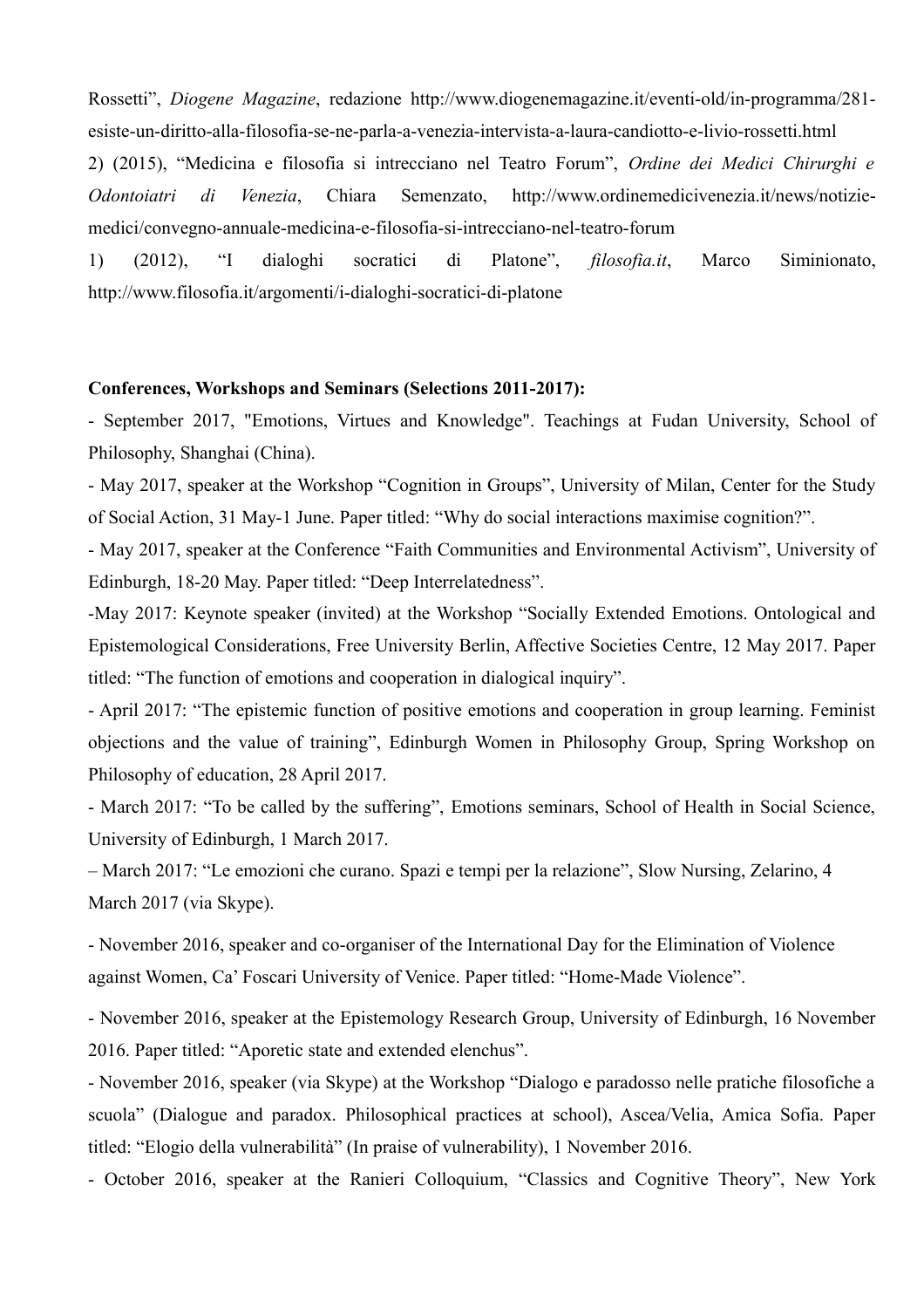Rossetti", *Diogene Magazine*, redazione http://www.diogenemagazine.it/eventi-old/in-programma/281 esiste-un-diritto-alla-filosofia-se-ne-parla-a-venezia-intervista-a-laura-candiotto-e-livio-rossetti.html 2) (2015), "Medicina e filosofia si intrecciano nel Teatro Forum", *Ordine dei Medici Chirurghi e Odontoiatri di Venezia*, Chiara Semenzato, http://www.ordinemedicivenezia.it/news/notiziemedici/convegno-annuale-medicina-e-filosofia-si-intrecciano-nel-teatro-forum

1) (2012), "I dialoghi socratici di Platone", *filosofia.it*, Marco Siminionato, <http://www.filosofia.it/argomenti/i-dialoghi-socratici-di-platone>

### **Conferences, Workshops and Seminars (Selections 2011-2017):**

- September 2017, "Emotions, Virtues and Knowledge". Teachings at Fudan University, School of Philosophy, Shanghai (China).

- May 2017, speaker at the Workshop "Cognition in Groups", University of Milan, Center for the Study of Social Action, 31 May-1 June. Paper titled: "Why do social interactions maximise cognition?".

- May 2017, speaker at the Conference "Faith Communities and Environmental Activism", University of Edinburgh, 18-20 May. Paper titled: "Deep Interrelatedness".

-May 2017: Keynote speaker (invited) at the Workshop "Socially Extended Emotions. Ontological and Epistemological Considerations, Free University Berlin, Affective Societies Centre, 12 May 2017. Paper titled: "The function of emotions and cooperation in dialogical inquiry".

- April 2017: "The epistemic function of positive emotions and cooperation in group learning. Feminist objections and the value of training", Edinburgh Women in Philosophy Group, Spring Workshop on Philosophy of education, 28 April 2017.

- March 2017: ["To be called by the suffering", E](http://wp.me/a7bxLm-7z)motions seminars, School of Health in Social Science, University of Edinburgh, 1 March 2017.

– March 2017: "Le emozioni che curano. Spazi e tempi per la relazione", Slow Nursing, Zelarino, 4 March 2017 (via Skype).

- November 2016, speaker and co-organiser of the International Day for the Elimination of Violence against Women, Ca' Foscari University of Venice. Paper titled: "Home-Made Violence".

- November 2016, speaker at the Epistemology Research Group, University of Edinburgh, 16 November 2016. Paper titled: "Aporetic state and extended elenchus".

- November 2016, speaker (via Skype) at the Workshop "Dialogo e paradosso nelle pratiche filosofiche a scuola" (Dialogue and paradox. Philosophical practices at school), Ascea/Velia, Amica Sofia. Paper titled: "Elogio della vulnerabilità" (In praise of vulnerability), 1 November 2016.

- October 2016, speaker at the Ranieri Colloquium, "Classics and Cognitive Theory", New York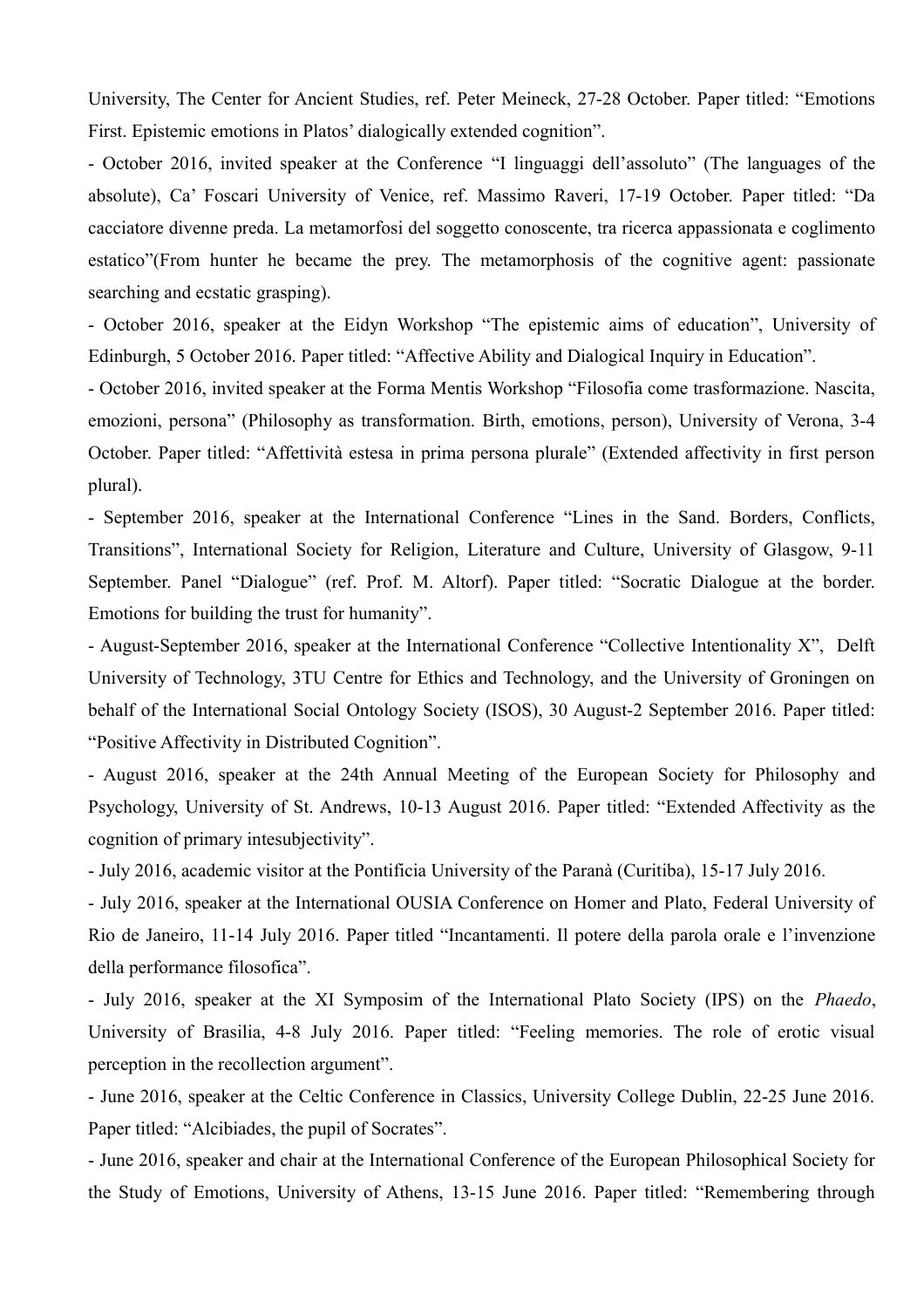University, The Center for Ancient Studies, ref. Peter Meineck, 27-28 October. Paper titled: "Emotions First. Epistemic emotions in Platos' dialogically extended cognition".

- October 2016, invited speaker at the Conference "I linguaggi dell'assoluto" (The languages of the absolute), Ca' Foscari University of Venice, ref. Massimo Raveri, 17-19 October. Paper titled: "Da cacciatore divenne preda. La metamorfosi del soggetto conoscente, tra ricerca appassionata e coglimento estatico"(From hunter he became the prey. The metamorphosis of the cognitive agent: passionate searching and ecstatic grasping).

- October 2016, speaker at the Eidyn Workshop "The epistemic aims of education", University of Edinburgh, 5 October 2016. Paper titled: "Affective Ability and Dialogical Inquiry in Education".

- October 2016, invited speaker at the Forma Mentis Workshop "Filosofia come trasformazione. Nascita, emozioni, persona" (Philosophy as transformation. Birth, emotions, person), University of Verona, 3-4 October. Paper titled: "Affettività estesa in prima persona plurale" (Extended affectivity in first person plural).

- September 2016, speaker at the International Conference "Lines in the Sand. Borders, Conflicts, Transitions", International Society for Religion, Literature and Culture, University of Glasgow, 9-11 September. Panel "Dialogue" (ref. Prof. M. Altorf). Paper titled: "Socratic Dialogue at the border. Emotions for building the trust for humanity".

- August-September 2016, speaker at the International Conference "Collective Intentionality X", Delft University of Technology, 3TU Centre for Ethics and Technology, and the University of Groningen on behalf of the International Social Ontology Society (ISOS), 30 August-2 September 2016. Paper titled: "Positive Affectivity in Distributed Cognition".

- August 2016, speaker at the 24th Annual Meeting of the European Society for Philosophy and Psychology, University of St. Andrews, 10-13 August 2016. Paper titled: "Extended Affectivity as the cognition of primary intesubjectivity".

- July 2016, academic visitor at the Pontificia University of the Paranà (Curitiba), 15-17 July 2016.

- July 2016, speaker at the International OUSIA Conference on Homer and Plato, Federal University of Rio de Janeiro, 11-14 July 2016. Paper titled "Incantamenti. Il potere della parola orale e l'invenzione della performance filosofica".

- July 2016, speaker at the XI Symposim of the International Plato Society (IPS) on the *Phaedo*, University of Brasilia, 4-8 July 2016. Paper titled: "Feeling memories. The role of erotic visual perception in the recollection argument".

- June 2016, speaker at the Celtic Conference in Classics, University College Dublin, 22-25 June 2016. Paper titled: "Alcibiades, the pupil of Socrates".

- June 2016, speaker and chair at the International Conference of the European Philosophical Society for the Study of Emotions, University of Athens, 13-15 June 2016. Paper titled: "Remembering through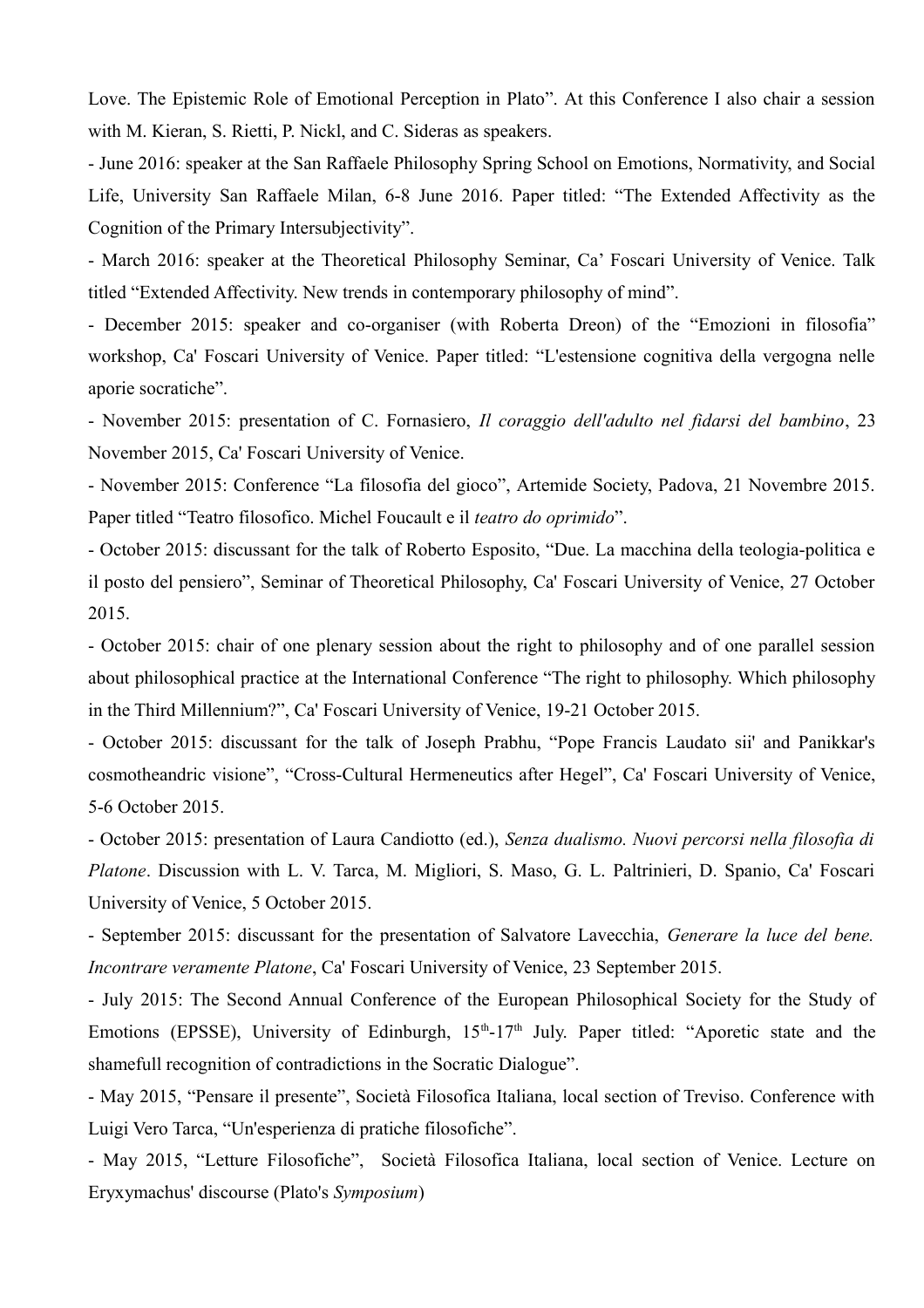Love. The Epistemic Role of Emotional Perception in Plato". At this Conference I also chair a session with M. Kieran, S. Rietti, P. Nickl, and C. Sideras as speakers.

- June 2016: speaker at the San Raffaele Philosophy Spring School on Emotions, Normativity, and Social Life, University San Raffaele Milan, 6-8 June 2016. Paper titled: "The Extended Affectivity as the Cognition of the Primary Intersubjectivity".

- March 2016: speaker at the Theoretical Philosophy Seminar, Ca' Foscari University of Venice. Talk titled "Extended Affectivity. New trends in contemporary philosophy of mind".

- December 2015: speaker and co-organiser (with Roberta Dreon) of the "Emozioni in filosofia" workshop, Ca' Foscari University of Venice. Paper titled: "L'estensione cognitiva della vergogna nelle aporie socratiche".

- November 2015: presentation of C. Fornasiero, *Il coraggio dell'adulto nel fidarsi del bambino*, 23 November 2015, Ca' Foscari University of Venice.

- November 2015: Conference "La filosofia del gioco", Artemide Society, Padova, 21 Novembre 2015. Paper titled "Teatro filosofico. Michel Foucault e il *teatro do oprimido*".

- October 2015: discussant for the talk of Roberto Esposito, "Due. La macchina della teologia-politica e il posto del pensiero", Seminar of Theoretical Philosophy, Ca' Foscari University of Venice, 27 October 2015.

- October 2015: chair of one plenary session about the right to philosophy and of one parallel session about philosophical practice at the International Conference "The right to philosophy. Which philosophy in the Third Millennium?", Ca' Foscari University of Venice, 19-21 October 2015.

- October 2015: discussant for the talk of Joseph Prabhu, "Pope Francis Laudato sii' and Panikkar's cosmotheandric visione", "Cross-Cultural Hermeneutics after Hegel", Ca' Foscari University of Venice, 5-6 October 2015.

- October 2015: presentation of Laura Candiotto (ed.), *Senza dualismo. Nuovi percorsi nella filosofia di Platone*. Discussion with L. V. Tarca, M. Migliori, S. Maso, G. L. Paltrinieri, D. Spanio, Ca' Foscari University of Venice, 5 October 2015.

- September 2015: discussant for the presentation of Salvatore Lavecchia, *Generare la luce del bene. Incontrare veramente Platone*, Ca' Foscari University of Venice, 23 September 2015.

- July 2015: The Second Annual Conference of the European Philosophical Society for the Study of Emotions (EPSSE), University of Edinburgh,  $15<sup>th</sup>$ -17<sup>th</sup> July. Paper titled: "Aporetic state and the shamefull recognition of contradictions in the Socratic Dialogue".

- May 2015, "Pensare il presente", Società Filosofica Italiana, local section of Treviso. Conference with Luigi Vero Tarca, "Un'esperienza di pratiche filosofiche".

- May 2015, "Letture Filosofiche", Società Filosofica Italiana, local section of Venice. Lecture on Eryxymachus' discourse (Plato's *Symposium*)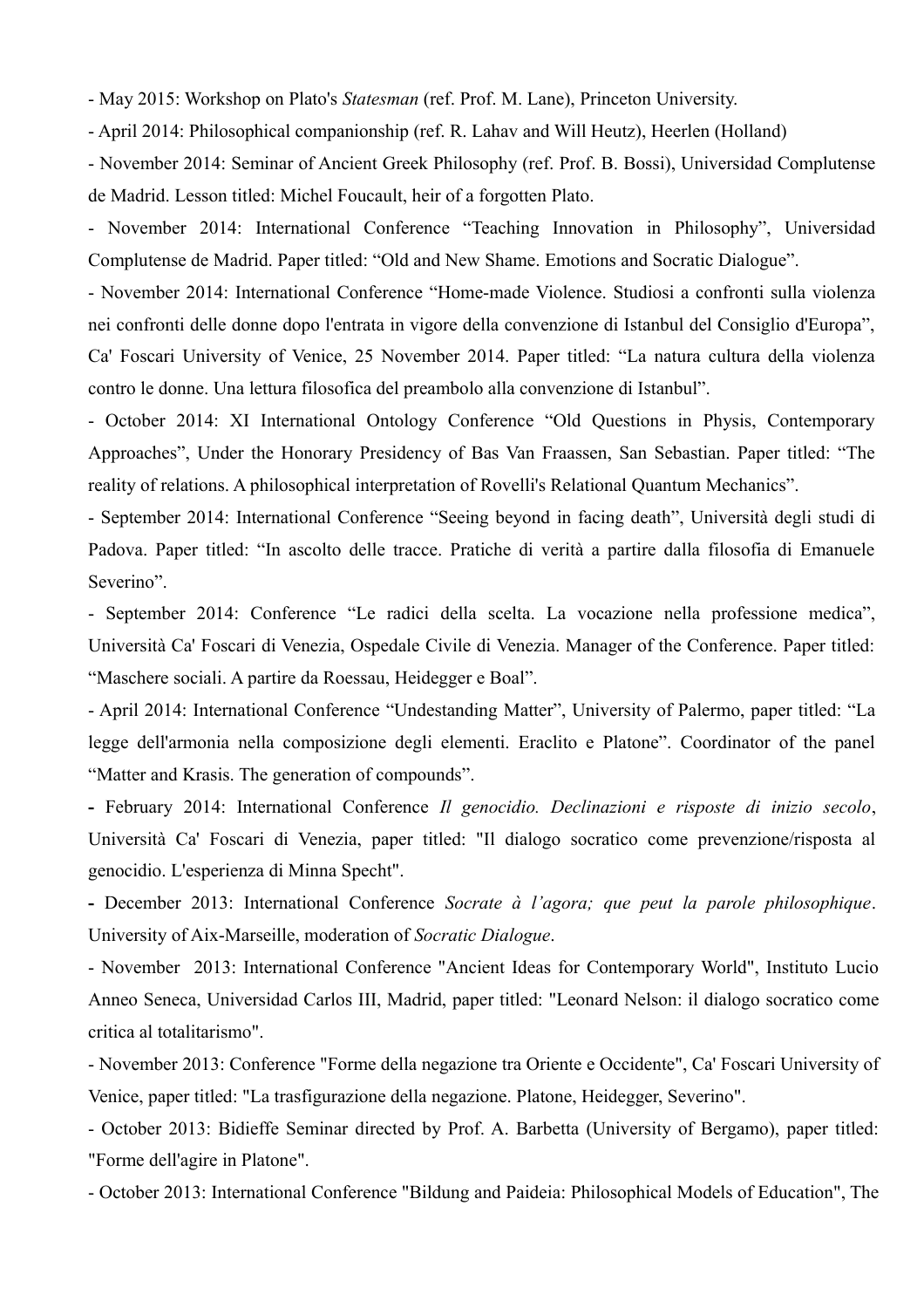- May 2015: Workshop on Plato's *Statesman* (ref. Prof. M. Lane), Princeton University.

- April 2014: Philosophical companionship (ref. R. Lahav and Will Heutz), Heerlen (Holland)

- November 2014: Seminar of Ancient Greek Philosophy (ref. Prof. B. Bossi), Universidad Complutense de Madrid. Lesson titled: Michel Foucault, heir of a forgotten Plato.

- November 2014: International Conference "Teaching Innovation in Philosophy", Universidad Complutense de Madrid. Paper titled: "Old and New Shame. Emotions and Socratic Dialogue".

- November 2014: International Conference "Home-made Violence. Studiosi a confronti sulla violenza nei confronti delle donne dopo l'entrata in vigore della convenzione di Istanbul del Consiglio d'Europa", Ca' Foscari University of Venice, 25 November 2014. Paper titled: "La natura cultura della violenza contro le donne. Una lettura filosofica del preambolo alla convenzione di Istanbul".

- October 2014: XI International Ontology Conference "Old Questions in Physis, Contemporary Approaches", Under the Honorary Presidency of Bas Van Fraassen, San Sebastian. Paper titled: "The reality of relations. A philosophical interpretation of Rovelli's Relational Quantum Mechanics".

- September 2014: International Conference "Seeing beyond in facing death", Università degli studi di Padova. Paper titled: "In ascolto delle tracce. Pratiche di verità a partire dalla filosofia di Emanuele Severino".

- September 2014: Conference "Le radici della scelta. La vocazione nella professione medica", Università Ca' Foscari di Venezia, Ospedale Civile di Venezia. Manager of the Conference. Paper titled: "Maschere sociali. A partire da Roessau, Heidegger e Boal".

- April 2014: International Conference "Undestanding Matter", University of Palermo, paper titled: "La legge dell'armonia nella composizione degli elementi. Eraclito e Platone". Coordinator of the panel "Matter and Krasis. The generation of compounds".

**-** February 2014: International Conference *Il genocidio. Declinazioni e risposte di inizio secolo*, Università Ca' Foscari di Venezia, paper titled: "Il dialogo socratico come prevenzione/risposta al genocidio. L'esperienza di Minna Specht".

**-** December 2013: International Conference *Socrate à l'agora; que peut la parole philosophique*. University of Aix-Marseille, moderation of *Socratic Dialogue*.

- November 2013: International Conference "Ancient Ideas for Contemporary World", Instituto Lucio Anneo Seneca, Universidad Carlos III, Madrid, paper titled: "Leonard Nelson: il dialogo socratico come critica al totalitarismo".

- November 2013: Conference "Forme della negazione tra Oriente e Occidente", Ca' Foscari University of Venice, paper titled: "La trasfigurazione della negazione. Platone, Heidegger, Severino".

- October 2013: Bidieffe Seminar directed by Prof. A. Barbetta (University of Bergamo), paper titled: "Forme dell'agire in Platone".

- October 2013: International Conference "Bildung and Paideia: Philosophical Models of Education", The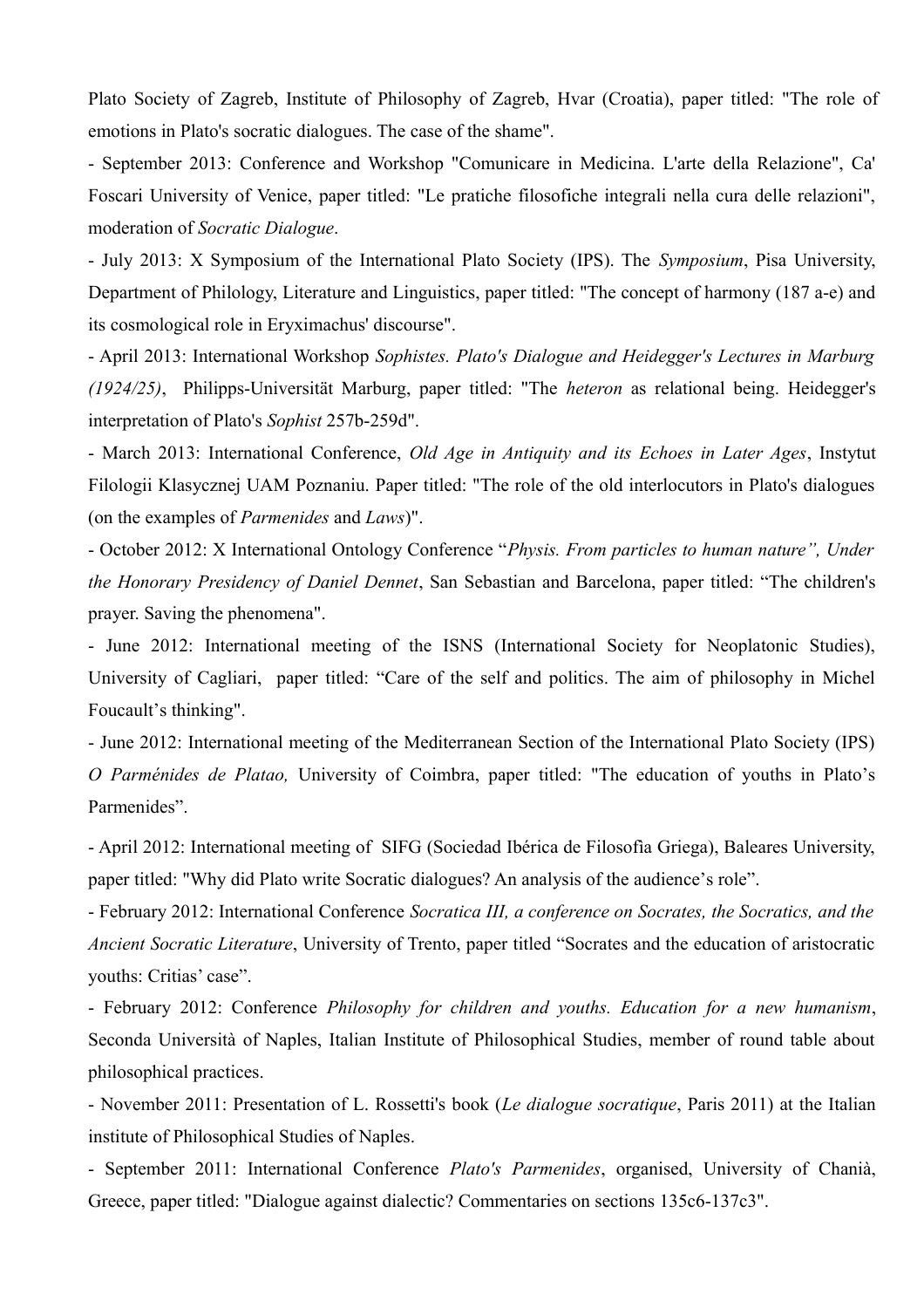Plato Society of Zagreb, Institute of Philosophy of Zagreb, Hvar (Croatia), paper titled: "The role of emotions in Plato's socratic dialogues. The case of the shame".

- September 2013: Conference and Workshop "Comunicare in Medicina. L'arte della Relazione", Ca' Foscari University of Venice, paper titled: "Le pratiche filosofiche integrali nella cura delle relazioni", moderation of *Socratic Dialogue*.

- July 2013: X Symposium of the International Plato Society (IPS). The *Symposium*, Pisa University, Department of Philology, Literature and Linguistics, paper titled: "The concept of harmony (187 a-e) and its cosmological role in Eryximachus' discourse".

- April 2013: International Workshop *Sophistes. Plato's Dialogue and Heidegger's Lectures in Marburg (1924/25)*, Philipps-Universität Marburg, paper titled: "The *heteron* as relational being. Heidegger's interpretation of Plato's *Sophist* 257b-259d".

- March 2013: International Conference, *Old Age in Antiquity and its Echoes in Later Ages*, Instytut Filologii Klasycznej UAM Poznaniu. Paper titled: "The role of the old interlocutors in Plato's dialogues (on the examples of *Parmenides* and *Laws*)".

- October 2012: X International Ontology Conference "*Physis. From particles to human nature", Under the Honorary Presidency of Daniel Dennet*, San Sebastian and Barcelona, paper titled: "The children's prayer. Saving the phenomena".

- June 2012: International meeting of the ISNS (International Society for Neoplatonic Studies), University of Cagliari, paper titled: "Care of the self and politics. The aim of philosophy in Michel Foucault's thinking".

- June 2012: International meeting of the Mediterranean Section of the International Plato Society (IPS) *O Parménides de Platao,* University of Coimbra, paper titled: "The education of youths in Plato's Parmenides".

- April 2012: International meeting of SIFG (Sociedad Ibérica de Filosofìa Griega), Baleares University, paper titled: "Why did Plato write Socratic dialogues? An analysis of the audience's role".

- February 2012: International Conference *Socratica III, a conference on Socrates, the Socratics, and the Ancient Socratic Literature*, University of Trento, paper titled "Socrates and the education of aristocratic youths: Critias' case".

- February 2012: Conference *Philosophy for children and youths. Education for a new humanism*, Seconda Università of Naples, Italian Institute of Philosophical Studies, member of round table about philosophical practices.

- November 2011: Presentation of L. Rossetti's book (*Le dialogue socratique*, Paris 2011) at the Italian institute of Philosophical Studies of Naples.

- September 2011: International Conference *Plato's Parmenides*, organised, University of Chanià, Greece, paper titled: "Dialogue against dialectic? Commentaries on sections 135c6-137c3".